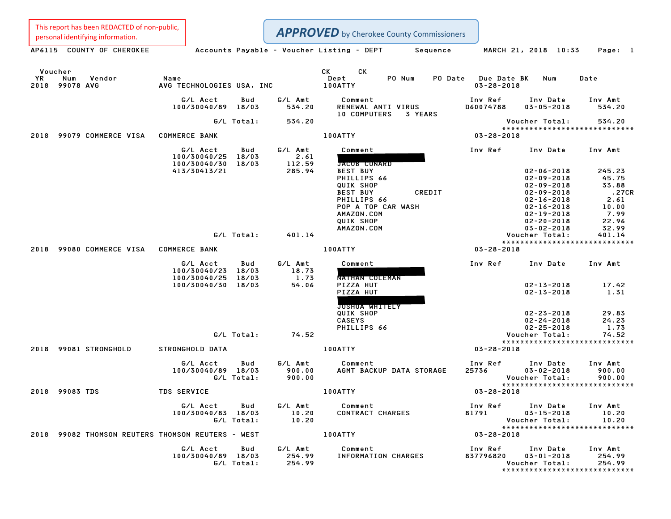This report has been REDACTED of non-public,<br>personal identifying information.

|    | This report has been nebected or non-public,<br>personal identifying information. |                                                                            |                   |                                   | <b>APPROVED</b> by Cherokee County Commissioners                                                                                         |                                         |                                                                                                                                                              |                                                                     |
|----|-----------------------------------------------------------------------------------|----------------------------------------------------------------------------|-------------------|-----------------------------------|------------------------------------------------------------------------------------------------------------------------------------------|-----------------------------------------|--------------------------------------------------------------------------------------------------------------------------------------------------------------|---------------------------------------------------------------------|
|    | AP6115 COUNTY OF CHEROKEE                                                         |                                                                            |                   |                                   | Accounts Payable – Voucher Listing – DEPT Sequence                                                                                       |                                         | MARCH 21, 2018 10:33                                                                                                                                         | Page: 1                                                             |
| YR | Voucher<br>Num<br>Vendor<br>2018 99078 AVG                                        | Name<br>AVG TECHNOLOGIES USA, INC                                          |                   |                                   | CK C<br>СK<br>Dept<br>PO Num<br>100ATTY                                                                                                  | PO Date Due Date BK<br>$03 - 28 - 2018$ | Num                                                                                                                                                          | Date                                                                |
|    |                                                                                   | G/L Acct<br>100/30040/89 18/03                                             | Bud               | G/L Amt<br>534.20                 | Comment<br>RENEWAL ANTI VIRUS<br>10 COMPUTERS 3 YEARS                                                                                    | Inv Ref<br>D60074788                    | Inv Date<br>$03 - 05 - 2018$                                                                                                                                 | Inv Amt<br>534.20                                                   |
|    |                                                                                   |                                                                            | G/L Total:        | 534.20                            |                                                                                                                                          |                                         | Voucher Total:                                                                                                                                               | 534.20                                                              |
|    | 2018 99079 COMMERCE VISA COMMERCE BANK                                            |                                                                            |                   |                                   | 100ATTY                                                                                                                                  | $03 - 28 - 2018$                        |                                                                                                                                                              | ******************************                                      |
|    |                                                                                   | G/L Acct<br>100/30040/25 18/03<br>100/30040/30 18/03                       | Bud               | G/L Amt<br>2.61<br>112.59         | Comment<br>JACOB CONARD                                                                                                                  | Inv Ref                                 | Inv Date                                                                                                                                                     | Inv Amt                                                             |
|    |                                                                                   | 413/30413/21                                                               |                   | 285.94                            | <b>BEST BUY</b><br>PHILLIPS 66<br>QUIK SHOP<br>CREDIT<br><b>BEST BUY</b><br>PHILLIPS 66<br>POP A TOP CAR WASH<br>AMAZON.COM<br>QUIK SHOP |                                         | $02 - 06 - 2018$<br>$02 - 09 - 2018$<br>$02 - 09 - 2018$<br>$02 - 09 - 2018$<br>$02 - 16 - 2018$<br>$02 - 16 - 2018$<br>$02 - 19 - 2018$<br>$02 - 20 - 2018$ | 245.23<br>45.75<br>33.88<br>.27CR<br>2.61<br>10.00<br>7.99<br>22.96 |
|    |                                                                                   |                                                                            | G/L Total:        | 401.14                            | AMAZON.COM                                                                                                                               |                                         | $03 - 02 - 2018$<br>Voucher Total:                                                                                                                           | 32.99<br>401.14                                                     |
|    | 2018 99080 COMMERCE VISA COMMERCE BANK                                            |                                                                            |                   |                                   | 100ATTY                                                                                                                                  | $03 - 28 - 2018$                        |                                                                                                                                                              | *****************************                                       |
|    |                                                                                   | G/L Acct<br>100/30040/23 18/03<br>100/30040/25 18/03<br>100/30040/30 18/03 | Bud               | G/L Amt<br>18.73<br>1.73<br>54.06 | Comment<br>NATHAN COLEMAN<br>PIZZA HUT<br>PIZZA HUT<br><b>JOSHUA WHITELY</b>                                                             | Inv Ref                                 | Inv Date<br>$02 - 13 - 2018$<br>$02 - 13 - 2018$                                                                                                             | Inv Amt<br>17.42<br>1.31                                            |
|    |                                                                                   |                                                                            | G/L Total:        | 74.52                             | QUIK SHOP<br><b>CASEYS</b><br>PHILLIPS 66                                                                                                |                                         | $02 - 23 - 2018$<br>$02 - 24 - 2018$<br>$02 - 25 - 2018$<br>Voucher Total:                                                                                   | 29.83<br>24.23<br>1.73<br>74.52                                     |
|    | 2018 99081 STRONGHOLD                                                             | STRONGHOLD DATA                                                            |                   |                                   | 100ATTY                                                                                                                                  | $03 - 28 - 2018$                        |                                                                                                                                                              | *****************************                                       |
|    |                                                                                   | G/L Acct<br>100/30040/89 18/03                                             | Bud<br>G/L Total: | G/L Amt<br>900.00<br>900.00       | Comment<br>AGMT BACKUP DATA STORAGE                                                                                                      | Inv Ref<br>25736                        | Inv Date<br>$03 - 02 - 2018$<br>Voucher Total:                                                                                                               | Inv Amt<br>900.00<br>900.00<br>*****************************        |
|    | 2018 99083 TDS                                                                    | <b>TDS SERVICE</b>                                                         |                   |                                   | 100ATTY                                                                                                                                  | $03 - 28 - 2018$                        |                                                                                                                                                              |                                                                     |
|    |                                                                                   | G/L Acct<br>100/30040/83 18/03                                             | Bud<br>G/L Total: | G/L Amt<br>10.20<br>10.20         | Comment<br>CONTRACT CHARGES                                                                                                              | Inv Ref<br>81791                        | Inv Date<br>$03 - 15 - 2018$<br>Voucher Total:                                                                                                               | Inv Amt<br>10.20<br>10.20<br>*****************************          |
|    | 2018 99082 THOMSON REUTERS THOMSON REUTERS - WEST                                 |                                                                            |                   |                                   | <b>100ATTY</b>                                                                                                                           | 03-28-2018                              |                                                                                                                                                              |                                                                     |
|    |                                                                                   | G/L Acct<br>100/30040/89 18/03                                             | Bud<br>G/L Total: | G/L Amt<br>254.99<br>254.99       | Comment<br>INFORMATION CHARGES                                                                                                           | Inv Ref<br>837796820                    | Inv Date<br>$03 - 01 - 2018$<br>Voucher Total:                                                                                                               | Inv Amt<br>254.99<br>254.99<br>******************************       |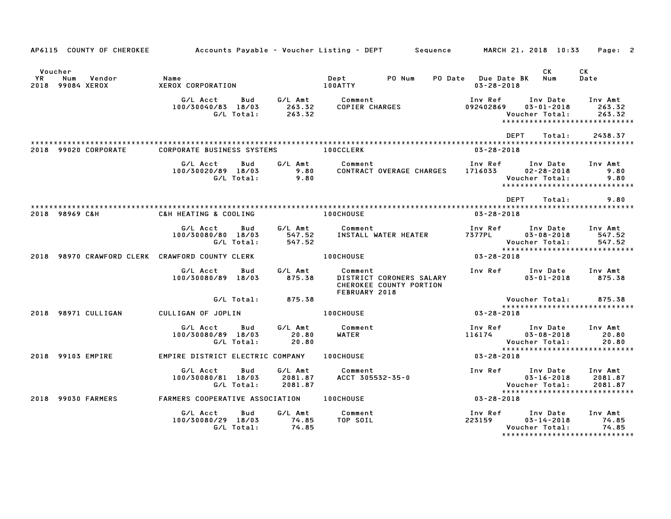|               | AP6115 COUNTY OF CHEROKEE         |                                                     |                               | Accounts Payable – Voucher Listing – DEPT         Sequence                      |                                         | MARCH 21, 2018 10:33                           | Page: 2                                                        |
|---------------|-----------------------------------|-----------------------------------------------------|-------------------------------|---------------------------------------------------------------------------------|-----------------------------------------|------------------------------------------------|----------------------------------------------------------------|
| Voucher<br>YR | Num<br>Vendor<br>2018 99084 XEROX | Name<br>XEROX CORPORATION                           |                               | Dept<br>PO Num<br><b>100ATTY</b>                                                | PO Date Due Date BK<br>$03 - 28 - 2018$ | CK<br>Num                                      | СK<br>Date                                                     |
|               |                                   | G/L Acct<br>Bud<br>100/30040/83 18/03<br>G/L Total: | G/L Amt<br>263.32<br>263.32   | Comment<br>COPIER CHARGES                                                       | Inv Ref<br>092402869                    | Inv Date<br>$03 - 01 - 2018$<br>Voucher Total: | Inv Amt<br>263.32<br>263.32<br>******************************  |
|               | 2018 99020 CORPORATE              | <b>CORPORATE BUSINESS SYSTEMS</b>                   |                               | <b>100CCLERK</b>                                                                | <b>DEPT</b><br>$03 - 28 - 2018$         | Total:                                         | 2438.37                                                        |
|               |                                   | G/L Acct<br>Bud<br>100/30020/89 18/03<br>G/L Total: | G/L Amt<br>9.80<br>9.80       | Comment<br>CONTRACT OVERAGE CHARGES                                             | Inv Ref<br>1716033                      | Inv Date<br>$02 - 28 - 2018$<br>Voucher Total: | Inv Amt<br>9.80<br>9.80<br>*****************************       |
|               |                                   |                                                     |                               |                                                                                 | DEPT                                    | Total:                                         | 9.80                                                           |
|               | 2018 98969 C&H                    | C&H HEATING & COOLING                               |                               | <b>100CHOUSE</b>                                                                | $03 - 28 - 2018$                        |                                                |                                                                |
|               |                                   | G/L Acct<br>Bud<br>100/30080/80 18/03<br>G/L Total: | G/L Amt<br>547.52<br>547.52   | Comment<br>INSTALL WATER HEATER                                                 | Inv Ref<br>7377PL                       | Inv Date<br>$03 - 08 - 2018$<br>Voucher Total: | Inv Amt<br>547.52<br>547.52<br>*****************************   |
|               |                                   | 2018 98970 CRAWFORD CLERK CRAWFORD COUNTY CLERK     |                               | <b>100CHOUSE</b>                                                                | 03-28-2018                              |                                                |                                                                |
|               |                                   | G/L Acct<br>Bud<br>100/30080/89 18/03               | G/L Amt<br>875.38             | Comment<br>DISTRICT CORONERS SALARY<br>CHEROKEE COUNTY PORTION<br>FEBRUARY 2018 | Inv Ref                                 | Inv Date<br>$03 - 01 - 2018$                   | Inv Amt<br>875.38                                              |
|               |                                   | G/L Total:                                          | 875.38                        |                                                                                 |                                         | Voucher Total:                                 | 875.38<br>*****************************                        |
|               | 2018 98971 CULLIGAN               | CULLIGAN OF JOPLIN                                  |                               | <b>100CHOUSE</b>                                                                | 03-28-2018                              |                                                |                                                                |
|               |                                   | G/L Acct<br>Bud<br>100/30080/89 18/03<br>G/L Total: | G/L Amt<br>20.80<br>20.80     | Comment<br>WATER                                                                | Inv Ref<br>116174                       | Inv Date<br>$03 - 08 - 2018$<br>Voucher Total: | Inv Amt<br>20.80<br>20.80<br>******************************    |
|               | 2018 99103 EMPIRE                 | EMPIRE DISTRICT ELECTRIC COMPANY 100CHOUSE          |                               |                                                                                 | 03-28-2018                              |                                                |                                                                |
|               |                                   | G/L Acct<br>Bud<br>100/30080/81 18/03<br>G/L Total: | G/L Amt<br>2081.87<br>2081.87 | Comment<br>ACCT 305532-35-0                                                     | Inv Ref                                 | Inv Date<br>$03 - 16 - 2018$<br>Voucher Total: | Inv Amt<br>2081.87<br>2081.87<br>***************************** |
|               | 2018 99030 FARMERS                | FARMERS COOPERATIVE ASSOCIATION 100CHOUSE           |                               |                                                                                 | $03 - 28 - 2018$                        |                                                |                                                                |
|               |                                   | G/L Acct<br>Bud<br>100/30080/29 18/03<br>G/L Total: | G/L Amt<br>74.85<br>74.85     | Comment<br>TOP SOIL                                                             | Inv Ref<br>223159                       | Inv Date<br>$03 - 14 - 2018$<br>Voucher Total: | Inv Amt<br>74.85<br>74.85<br>*****************************     |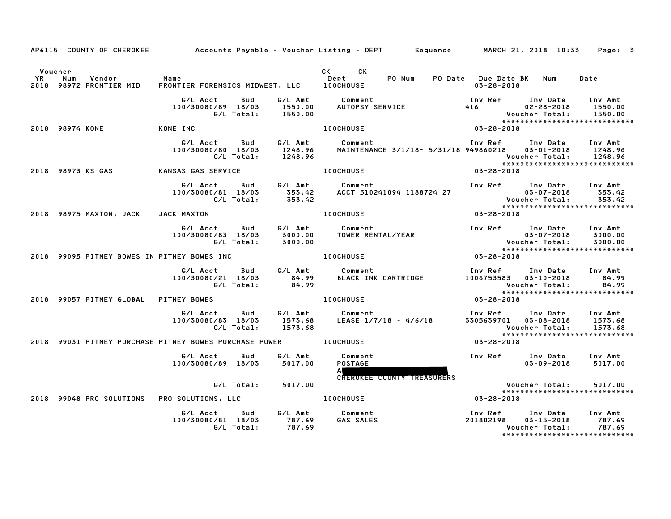|               | AP6115 COUNTY OF CHEROKEE                   |                                                        |                               | Accounts Payable – Voucher Listing – DEPT         Sequence         MARCH 21, 2018  10:33 |                                                |                                                                                  | Page: 3                       |
|---------------|---------------------------------------------|--------------------------------------------------------|-------------------------------|------------------------------------------------------------------------------------------|------------------------------------------------|----------------------------------------------------------------------------------|-------------------------------|
| Voucher<br>YR | Vendor<br>Num<br>2018 98972 FRONTIER MID    | Name<br>FRONTIER FORENSICS MIDWEST, LLC 100CHOUSE      |                               | CK CK<br>Dept<br>PO Num                                                                  | PO Date Due Date BK<br>$03 - 28 - 2018$        | Num                                                                              | Date                          |
|               |                                             | G/L Acct<br>Bud<br>100/30080/89 18/03<br>G/L Total:    | 1550.00<br>1550.00            |                                                                                          | Inv Ref Inv Date<br>416 7                      | $02 - 28 - 2018$<br>Voucher Total:<br>*****************************              | Inv Amt<br>1550.00<br>1550.00 |
|               | 2018 98974 KONE                             | KONE INC                                               |                               | 100CHOUSE                                                                                | $03 - 28 - 2018$                               |                                                                                  |                               |
|               |                                             | G/L Acct<br>Bud<br>100/30080/80 18/03<br>G/L Total:    | G/L Amt<br>1248.96<br>1248.96 | Comment<br>MAINTENANCE 3/1/18- 5/31/18 949860218                                         | Inv Ref Inv Date                               | $03 - 01 - 2018$<br>Voucher Total:<br>*****************************              | Inv Amt<br>1248.96<br>1248.96 |
|               | 2018 98973 KS GAS                           | KANSAS GAS SERVICE                                     |                               | <b>100CHOUSE</b>                                                                         | $03 - 28 - 2018$                               |                                                                                  |                               |
|               |                                             | G/L Acct<br>Bud<br>100/30080/81 18/03<br>G/L Total:    | G/L Amt<br>353.42<br>353.42   | Comment<br>ACCT 510241094 1188724 27                                                     | Inv Ref Inv Date                               |                                                                                  | Inv Amt                       |
|               | 2018 98975 MAXTON, JACK                     | JACK MAXTON                                            |                               | 100CHOUSE                                                                                | $03 - 28 - 2018$                               |                                                                                  |                               |
|               |                                             | G/L Acct<br>Bud<br>100/30080/83 18/03<br>G/L Total:    | G/L Amt<br>3000.00<br>3000.00 | Comment<br>Comment<br>TOWER RENTAL/YEAR                                                  | Inv Ref      Inv Date                          | $03 - 07 - 2018$<br>*****************************                                | Inv Amt<br>3000.00<br>3000.00 |
|               | 2018 99095 PITNEY BOWES IN PITNEY BOWES INC |                                                        |                               | <b>100CHOUSE</b>                                                                         | $03 - 28 - 2018$                               |                                                                                  |                               |
|               |                                             | G/L Acct<br>Bud<br>100/30080/21 18/03<br>G/L Total:    | G/L Amt<br>84.99<br>84.99     | Comment<br>BLACK INK CARTRIDGE                                                           | Inv Ref<br>1006753583  03-10-2018              | Inv Date<br>Voucher Total:<br>*****************************                      | Inv Amt<br>84.99<br>84.99     |
|               | 2018 99057 PITNEY GLOBAL                    | <b>PITNEY BOWES</b>                                    |                               | <b>100CHOUSE</b>                                                                         | $03 - 28 - 2018$                               |                                                                                  |                               |
|               |                                             | G/L Acct<br>Bud<br>100/30080/83 18/03<br>G/L Total:    | G/L Amt<br>1573.68<br>1573.68 | Comment<br>LEASE 1/7/18 - 4/6/18                                                         | Inv Ref      Inv Date<br>3305639701 03-08-2018 | Voucher Total:                                                                   | Inv Amt<br>1573.68<br>1573.68 |
|               |                                             | 2018 99031 PITNEY PURCHASE PITNEY BOWES PURCHASE POWER |                               | <b>100CHOUSE</b>                                                                         | 03-28-2018                                     | *****************************                                                    |                               |
|               |                                             | G/L Acct<br>Bud<br>100/30080/89 18/03                  | G/L Amt<br>5017.00            | Comment<br><b>POSTAGE</b><br>A <b>William</b>                                            |                                                | Inv Ref Inv Date<br>$03 - 09 - 2018$                                             | Inv Amt<br>5017.00            |
|               | 2018 99048 PRO SOLUTIONS                    | G/L Total:<br>PRO SOLUTIONS, LLC                       | 5017.00                       | <b>CHEROKEE COUNTY TREASURERS</b><br><b>100CHOUSE</b>                                    | 03-28-2018                                     | Voucher Total:<br>*****************************                                  | 5017.00                       |
|               |                                             | G/L Acct<br>Bud<br>100/30080/81 18/03<br>G/L Total:    | 787.69<br>787.69              | G/L Amt Comment<br><b>GAS SALES</b>                                                      | Inv Ref<br>201802198                           | Inv Date<br>$03 - 15 - 2018$<br>Voucher Total:<br>****************************** | Inv Amt<br>787.69<br>787.69   |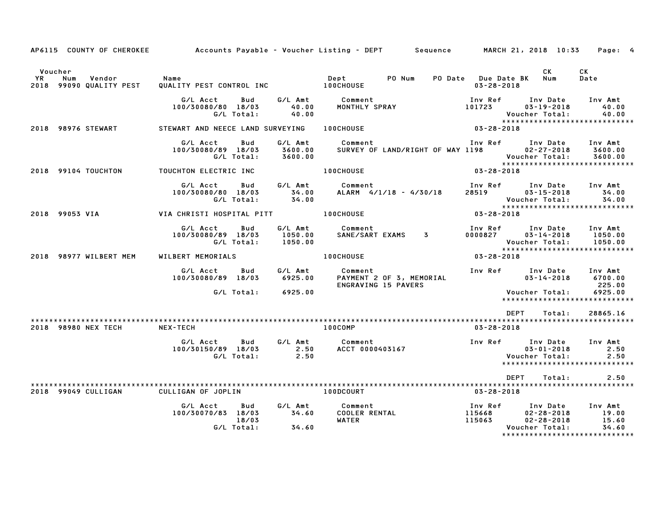| AP6115 COUNTY OF CHEROKEE                                      |                                                              |                    | Accounts Payable – Voucher Listing – DEPT       Sequence       MARCH 21, 2018 10:33                                                                                        |                                                                                               | Page: 4                       |
|----------------------------------------------------------------|--------------------------------------------------------------|--------------------|----------------------------------------------------------------------------------------------------------------------------------------------------------------------------|-----------------------------------------------------------------------------------------------|-------------------------------|
| Voucher<br>Num<br>Vendor Name<br>YR<br>2018 99090 QUALITY PEST |                                                              |                    | Dept PO Num PO Date Due Date BK Num Date<br>100CHOUSE 13-28-2018                                                                                                           | <b>CK</b><br>$03 - 28 - 2018$                                                                 | CK                            |
|                                                                | G/L Total: 40.00                                             | 40.00              |                                                                                                                                                                            | Inv Ref      Inv Date    Inv Amt<br>101723         03–19–2018         40.00<br>Voucher Total: | 40.00                         |
| 2018 98976 STEWART                                             |                                                              |                    |                                                                                                                                                                            |                                                                                               |                               |
|                                                                | G/L Acct<br>Bud<br>100/30080/89 18/03<br>G/L Total:          | 3600.00<br>3600.00 | G/L Amt Comment<br>3600.00 SURVEY OF                                                                                                                                       |                                                                                               |                               |
| 2018 99104 TOUCHTON                                            |                                                              |                    | TOUCHTON ELECTRIC INC <b>100CHOUSE</b> 03-28-2018                                                                                                                          |                                                                                               |                               |
|                                                                | 080/80 18/03 34.00<br>G/L Total: 34.00                       |                    |                                                                                                                                                                            |                                                                                               |                               |
|                                                                |                                                              |                    |                                                                                                                                                                            |                                                                                               |                               |
|                                                                | G/L Acct<br>Bud<br>100/30080/89 18/03<br>G/L Total:          | 1050.00<br>1050.00 | G/L Amt Comment<br>1050.00 SANE/SART                                                                                                                                       | Voucher Total:<br>******************************                                              | 1050.00                       |
| 2018 98977 WILBERT MEM                                         | WILBERT MEMORIALS                                            |                    | 100CHOUSE <b>Andrew Street Street Street Street</b>                                                                                                                        | $03 - 28 - 2018$                                                                              |                               |
|                                                                |                                                              |                    | G/L Acct Bud G/L Amt Comment 1nv Ref Inv Date Inv Amt 100/30080/89 18/03 6925.00 PAYMENT 2 OF 3, MEMORIAL 100/30080/89 18/03 6700.00<br>ENGRAVING 15 PAVERS                |                                                                                               | 225.00                        |
|                                                                | G/L Total: 6925.00                                           |                    |                                                                                                                                                                            | <b>Voucher Total:</b><br>******************************                                       | 6925.00                       |
|                                                                |                                                              |                    |                                                                                                                                                                            | <b>DEPT</b><br>Total:                                                                         | 28865.16                      |
| 2018 98980 NEX TECH                                            | NEX-TECH                                                     |                    | <b>100COMP</b>                                                                                                                                                             | $03 - 28 - 2018$                                                                              |                               |
|                                                                |                                                              |                    | G/L Acct Bud G/L Amt Comment 100/30150/89 18/03 C/L Amt Comment 100/30150/89 18/03 2.50<br>100/30150/89 18/03 2.50 ACCT 0000403167 100/30150/89 18/03 2.50 6/L Total: 2.50 | Voucher Total:<br>*****************************                                               | 2.50<br>2.50                  |
|                                                                |                                                              |                    |                                                                                                                                                                            | <b>DEPT</b><br>Total:                                                                         | 2.50                          |
| 2018 99049 CULLIGAN                                            | CULLIGAN OF JOPLIN 100DCOURT                                 |                    |                                                                                                                                                                            | 03-28-2018                                                                                    |                               |
|                                                                | G/L Acct<br>Bud<br>100/30070/83 18/03<br>18/03<br>G/L Total: | 34.60              |                                                                                                                                                                            | Inv Date Inv Amt<br>Voucher Total:                                                            | $19.00$<br>$15.60$<br>$34.60$ |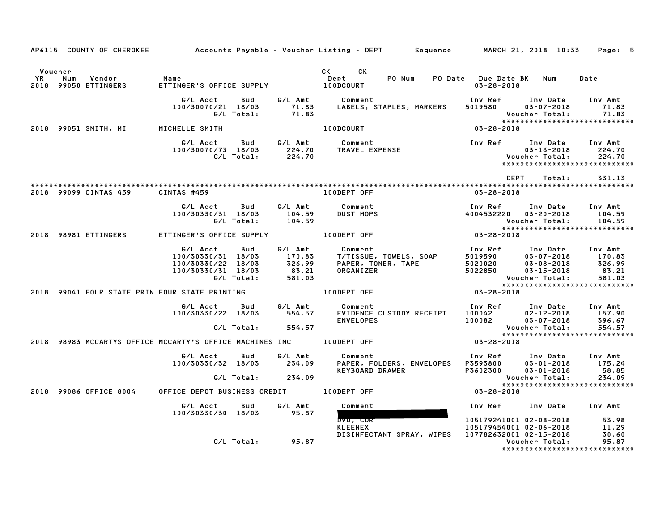|                      |                                                                                     |                                                                                |                      |         | AP6115 COUNTY OF CHEROKEE Accounts Payable - Voucher Listing - DEPT Sequence MARCH 21, 2018 10:33 Page: 5                                                                                                                                                                          |                                                                             |                                                  |                                                               |
|----------------------|-------------------------------------------------------------------------------------|--------------------------------------------------------------------------------|----------------------|---------|------------------------------------------------------------------------------------------------------------------------------------------------------------------------------------------------------------------------------------------------------------------------------------|-----------------------------------------------------------------------------|--------------------------------------------------|---------------------------------------------------------------|
| Voucher<br><b>YR</b> | Num<br>Vendor<br>2018 99050 ETTINGERS                                               | Name<br>ETTINGER'S OFFICE SUPPLY 100DCOURT                                     |                      |         | CK CK                                                                                                                                                                                                                                                                              | $03 - 28 - 2018$                                                            |                                                  | Date                                                          |
|                      |                                                                                     | G/L Acct Bud G/L Amt Comment                                                   |                      |         | 100/30070/21 18/03 71.83 LABELS, STAPLES, MARKERS<br>G/L Total: 71.83                                                                                                                                                                                                              | Inv Ref      Inv Date    Inv Amt<br>5019580        03–07–2018         71.83 |                                                  | 71.83<br>Voucher Total: 71.83<br>**************************** |
|                      | 2018 99051 SMITH, MI                                                                | MICHELLE SMITH                                                                 |                      |         | 100DCOURT                                                                                                                                                                                                                                                                          | 03-28-2018                                                                  |                                                  |                                                               |
|                      |                                                                                     |                                                                                |                      |         |                                                                                                                                                                                                                                                                                    |                                                                             | $03 - 16 - 2018$ 224.70<br>Voucher Total: 224.70 |                                                               |
|                      |                                                                                     |                                                                                |                      |         |                                                                                                                                                                                                                                                                                    |                                                                             | DEPT Total:                                      | 331.13                                                        |
|                      | 2018 99099 CINTAS 459                                                               | CINTAS #459                                                                    |                      |         | 100DEPT OFF                                                                                                                                                                                                                                                                        | 03-28-2018                                                                  |                                                  |                                                               |
|                      |                                                                                     | G/L Acct Bud G/L Amt<br>$100/30330/31$ $18/03$ $104.59$<br>G/L Total: $104.59$ |                      |         | Comment<br><b>DUST MOPS</b>                                                                                                                                                                                                                                                        | Inv Ref      Inv Date     Inv Amt<br>4004532220  03-20-2018  104.59         |                                                  |                                                               |
|                      | 2018 98981 ETTINGERS                                                                |                                                                                |                      |         | ETTINGER'S OFFICE SUPPLY <b>100DEPT OFF</b>                                                                                                                                                                                                                                        | $03 - 28 - 2018$                                                            |                                                  |                                                               |
|                      |                                                                                     |                                                                                |                      |         | 2007<br>100/30330/31 18/03<br>170.83<br>170.83<br>170.83<br>170.83<br>170.83<br>170.83<br>170.83<br>170.83<br>170.83<br>170.83<br>170.83<br>170.83<br>170.83<br>170.83<br>170.83<br>170.83<br>170.83<br>170.83<br>170.83<br>170.83<br>170.83<br>170.83<br>170.83<br>170.83<br>170. |                                                                             |                                                  |                                                               |
|                      | 2018 99041 FOUR STATE PRIN FOUR STATE PRINTING THE RESIDENCE RESIDENCE TO RESIDENCE |                                                                                |                      |         |                                                                                                                                                                                                                                                                                    | $03 - 28 - 2018$                                                            |                                                  | *****************************                                 |
|                      |                                                                                     | G/LAcct Bud G/LAmt                                                             | G/L Total: 554.57    |         | Comment<br>100/30330/22 18/03 554.57 EVIDENCE CUSTODY RECEIPT 100042 02-12-2018 157.90<br>100/30330/22 18/03 554.57 EVIDENCE CUSTODY RECEIPT 100042 02-12-2018 157.90                                                                                                              | Inv Ref Inv Date Inv Amt                                                    |                                                  |                                                               |
|                      |                                                                                     |                                                                                |                      |         |                                                                                                                                                                                                                                                                                    | Voucher Total: 554.57<br>****************************<br>$03 - 28 - 2018$   |                                                  |                                                               |
|                      | 2018 98983 MCCARTYS OFFICE MCCARTY'S OFFICE MACHINES INC 100DEPT OFF                |                                                                                |                      |         |                                                                                                                                                                                                                                                                                    |                                                                             |                                                  |                                                               |
|                      |                                                                                     | G/L Acct Bud G/L Amt Comment                                                   |                      |         | 100/30330/32 18/03 234.09 PAPER, FOLDERS, ENVELOPES P3593800 03-01-2018 175.24<br>100/30330/32 18/03 234.09 PAPER, FOLDERS, ENVELOPES P3593800 03-01-2018 58.85<br>KEYBOARD DRAWER                                                                                                 | Inv Ref Inv Date Inv Amt                                                    |                                                  |                                                               |
|                      |                                                                                     |                                                                                | G/L Total: 234.09    |         |                                                                                                                                                                                                                                                                                    |                                                                             | Voucher Total:                                   | 234.09<br>*****************************                       |
|                      | 2018 99086 OFFICE 8004                                                              | OFFICE DEPOT BUSINESS CREDIT 100DEPT OFF                                       |                      |         |                                                                                                                                                                                                                                                                                    | 03-28-2018                                                                  |                                                  |                                                               |
|                      |                                                                                     | G/L Acct Bud<br>100/30330/30 18/03 95.87                                       |                      | G/L Amt | Comment<br>DVD, CDR                                                                                                                                                                                                                                                                | Inv Ref      Inv Date     Inv Amt                                           |                                                  |                                                               |
|                      |                                                                                     |                                                                                | $G/L$ Total: $95.87$ |         | KLEENEX<br>DISINFECTANT SPRAY, WIPES  107782632001 02-15-2018                                                                                                                                                                                                                      | 105179241001 02-08-2018 53.98<br>105179454001 02-06-2018 11.29              | Voucher Total:                                   | 30.60<br>95.87                                                |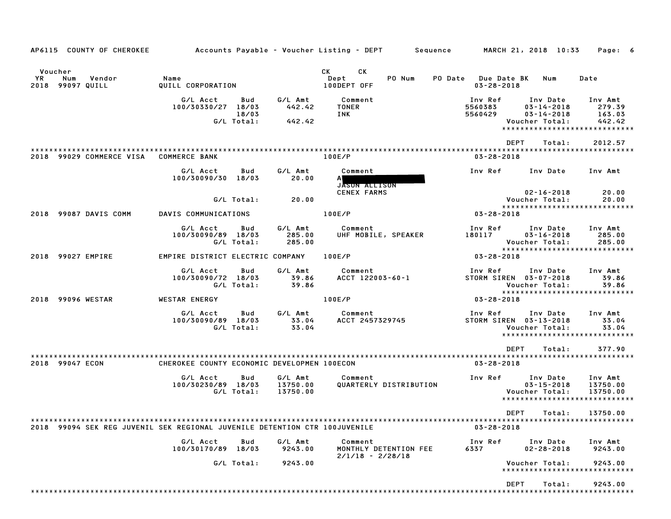| AP6115 COUNTY OF CHEROKEE                                                  |                                                              |                                 | Accounts Payable – Voucher Listing – DEPT       Sequence | MARCH 21, 2018 10:33<br>Page: 6                                                                                                                                               |
|----------------------------------------------------------------------------|--------------------------------------------------------------|---------------------------------|----------------------------------------------------------|-------------------------------------------------------------------------------------------------------------------------------------------------------------------------------|
| Voucher<br>YR<br>Num<br>Vendor<br>2018 99097 QUILL                         | Name<br>QUILL CORPORATION                                    |                                 | CK.<br>CK<br>Dept<br>PO Num<br>100DEPT OFF               | <b>PO Date</b> Due Date BK<br>Num<br>Date<br>$03 - 28 - 2018$                                                                                                                 |
|                                                                            | G/L Acct<br>Bud<br>100/30330/27 18/03<br>18/03<br>G/L Total: | G/L Amt<br>442.42<br>442.42     | Comment<br><b>TONER</b><br>INK                           | Inv Ref<br>Inv Date<br>Inv Amt<br>5560383<br>$03 - 14 - 2018$<br>279.39<br>5560429<br>$03 - 14 - 2018$<br>163.03<br>Voucher Total:<br>442.42<br>***************************** |
| 2018 99029 COMMERCE VISA                                                   | <b>COMMERCE BANK</b>                                         |                                 | 100E/P                                                   | <b>DEPT</b><br>Total:<br>2012.57<br>$03 - 28 - 2018$                                                                                                                          |
|                                                                            | G/L Acct<br>Bud<br>100/30090/30 18/03                        | G/L Amt<br>20.00                | Comment<br>A١<br>JASON ALLISON                           | Inv Ref<br>Inv Date<br>Inv Amt                                                                                                                                                |
|                                                                            | G/L Total:                                                   | 20.00                           | <b>CENEX FARMS</b>                                       | $02 - 16 - 2018$<br>20.00<br>Voucher Total:<br>20.00<br>*****************************                                                                                         |
| 2018 99087 DAVIS COMM                                                      | DAVIS COMMUNICATIONS                                         |                                 | 100E/P                                                   | $03 - 28 - 2018$                                                                                                                                                              |
|                                                                            | G/L Acct<br>Bud<br>100/30090/89 18/03<br>G/L Total:          | G/L Amt<br>285.00<br>285.00     | Comment<br>UHF MOBILE, SPEAKER                           | Inv Ref<br>Inv Date<br>Inv Amt<br>180117<br>$03 - 16 - 2018$<br>285.00<br>Voucher Total:<br>285.00<br>*****************************                                           |
| 2018 99027 EMPIRE                                                          | EMPIRE DISTRICT ELECTRIC COMPANY                             |                                 | 100E/P                                                   | $03 - 28 - 2018$                                                                                                                                                              |
|                                                                            | G/L Acct<br>Bud<br>100/30090/72 18/03<br>G/L Total:          | G/L Amt<br>39.86<br>39.86       | Comment<br>ACCT 122003-60-1                              | Inv Ref<br>Inv Date<br>Inv Amt<br>STORM SIREN 03-07-2018<br>39.86<br>Voucher Total:<br>39.86<br>*****************************                                                 |
| 2018 99096 WESTAR                                                          | <b>WESTAR ENERGY</b>                                         |                                 | 100E/P                                                   | 03-28-2018                                                                                                                                                                    |
|                                                                            | G/L Acct<br>Bud<br>100/30090/89 18/03<br>G/L Total:          | G/L Amt<br>33.04<br>33.04       | Comment<br>ACCT 2457329745                               | Inv Ref<br>Inv Date<br>Inv Amt<br>STORM SIREN 03-13-2018<br>33.04<br>Voucher Total:<br>33.04<br>*****************************                                                 |
|                                                                            |                                                              |                                 |                                                          | <b>DEPT</b><br>377.90<br>Total:                                                                                                                                               |
| 2018 99047 ECON                                                            | CHEROKEE COUNTY ECONOMIC DEVELOPMEN 100ECON                  |                                 |                                                          | $03 - 28 - 2018$                                                                                                                                                              |
|                                                                            | G/L Acct<br>Bud<br>100/30230/89 18/03<br>G/L Total:          | G/L Amt<br>13750.00<br>13750.00 | Comment<br>QUARTERLY DISTRIBUTION                        | Inv Ref<br>Inv Date<br>Inv Amt<br>$03 - 15 - 2018$<br>13750.00<br>Voucher Total:<br>13750.00<br>*****************************                                                 |
| 2018 99094 SEK REG JUVENIL SEK REGIONAL JUVENILE DETENTION CTR 100JUVENILE |                                                              |                                 |                                                          | $03 - 28 - 2018$                                                                                                                                                              |
|                                                                            | G/L Acct<br>Bud<br>100/30170/89 18/03                        | G/L Amt<br>9243.00              | Comment<br>MONTHLY DETENTION FEE<br>$2/1/18 - 2/28/18$   | Inv Ref<br>Inv Date<br>Inv Amt<br>$02 - 28 - 2018$<br>9243.00<br>6337                                                                                                         |
|                                                                            | G/L Total:                                                   | 9243.00                         |                                                          | Voucher Total:<br>9243.00<br>******************************                                                                                                                   |
|                                                                            |                                                              |                                 |                                                          | <b>DEPT</b><br>9243.00<br>Total:                                                                                                                                              |
|                                                                            |                                                              |                                 |                                                          |                                                                                                                                                                               |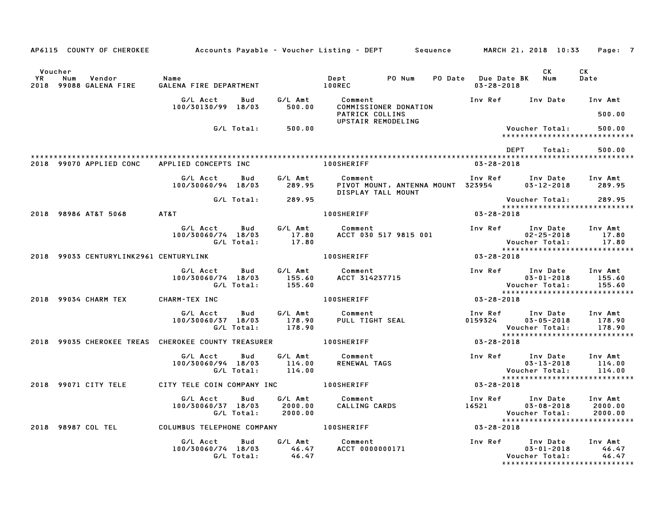|                      |                                         |                                                                   |                             | AP6115 COUNTY OF CHEROKEE Accounts Payable – Voucher Listing – DEPT Sequence MARCH 21, 2018 10:33 |                                             |                                                                                                 | Page: 7                       |
|----------------------|-----------------------------------------|-------------------------------------------------------------------|-----------------------------|---------------------------------------------------------------------------------------------------|---------------------------------------------|-------------------------------------------------------------------------------------------------|-------------------------------|
| Voucher<br><b>YR</b> | Num<br>Vendor<br>2018 99088 GALENA FIRE | Name<br>GALENA FIRE DEPARTMENT 100REC                             |                             | Dept PO Num                                                                                       | PO Date Due Date BK Num<br>$03 - 28 - 2018$ | CK.                                                                                             | CK<br>Date                    |
|                      |                                         | G/L Acct<br>Bud<br>100/30130/99 18/03                             | G/L Amt<br>500.00           | Comment<br>COMMISSIONER DONATION<br>PATRICK COLLINS                                               |                                             | Inv Ref Inv Date Inv Amt                                                                        | 500.00                        |
|                      |                                         | G/L Total:                                                        | 500.00                      | UPSTAIR REMODELING                                                                                |                                             | Voucher Total:<br>*****************************                                                 | 500.00                        |
|                      |                                         |                                                                   |                             |                                                                                                   |                                             | DEPT<br>Total:                                                                                  | 500.00                        |
|                      | 2018 99070 APPLIED CONC                 | APPLIED CONCEPTS INC                                              |                             | 100SHERIFF                                                                                        | $03 - 28 - 2018$                            |                                                                                                 |                               |
|                      |                                         | G/L Acct<br><b>Bud</b><br>100/30060/94 18/03                      | G/L Amt                     | Comment<br>289.95 PIVOT MOUNT, ANTENNA MOUNT 323954<br>DISPLAY TALL MOUNT                         |                                             | Inv Ref Inv Date Inv Amt<br>$03 - 12 - 2018$                                                    | 289.95                        |
|                      |                                         |                                                                   | G/L Total: 289.95           |                                                                                                   |                                             | Voucher Total:<br>*****************************                                                 | 289.95                        |
|                      | 2018 98986 AT&T 5068                    | AT&T                                                              |                             | <b>100SHERIFF</b>                                                                                 | $03 - 28 - 2018$                            |                                                                                                 |                               |
|                      |                                         | <b>Bud</b><br>G/L Acct<br>100/30060/74 18/03<br>G/L Total:        | G/L Amt<br>17.80<br>17.80   | Comment<br>ACCT 030 517 9815 001                                                                  |                                             | Inv Ref Inv Date<br>$02 - 25 - 2018$<br>Voucher Total:                                          | Inv Amt<br>17.80<br>17.80     |
|                      | 2018 99033 CENTURYLINK2961 CENTURYLINK  |                                                                   |                             | <b>100SHERIFF</b>                                                                                 | $03 - 28 - 2018$                            | ******************************                                                                  |                               |
|                      |                                         | G/L Acct<br>Bud<br>100/30060/74 18/03<br>G/L Total:               | G/L Amt<br>155.60<br>155.60 | Comment<br>comment<br>ACCT 314237715                                                              |                                             | Inv Ref Inv Date<br>$03 - 01 - 2018$<br>Voucher Total:                                          | Inv Amt<br>155.60<br>155.60   |
|                      | 2018 99034 CHARM TEX                    | CHARM-TEX INC                                                     |                             | <b>100SHERIFF</b>                                                                                 | $03 - 28 - 2018$                            |                                                                                                 |                               |
|                      |                                         | G/L Acct<br>Bud<br>100/30060/37 18/03<br>G/L Total:               | G/L Amt<br>178.90<br>178.90 | Comment<br>PULL TIGHT SEAL                                                                        | 0159324                                     | Inv Ref Inv Date Inv Amt<br>$03 - 05 - 2018$<br>Voucher Total:<br>***************************** | 178.90<br>178.90              |
|                      |                                         | 2018 99035 CHEROKEE TREAS CHEROKEE COUNTY TREASURER 40 100SHERIFF |                             |                                                                                                   | 03-28-2018                                  |                                                                                                 |                               |
|                      |                                         | G/L Acct<br>Bud<br>100/30060/94 18/03<br>G/L Total:               | G/L Amt<br>114.00<br>114.00 | Comment<br>RENEWAL TAGS                                                                           |                                             | Inv Ref Inv Date<br>$03 - 13 - 2018$<br>Voucher Total:                                          | Inv Amt<br>114.00<br>114.00   |
|                      | 2018 99071 CITY TELE                    | CITY TELE COIN COMPANY INC 100SHERIFF                             |                             |                                                                                                   | 03-28-2018                                  | *****************************                                                                   |                               |
|                      |                                         | G/L Acct<br>Bud<br>100/30060/37 18/03<br>G/L Total:               | 2000.00<br>2000.00          | G/L Amt Comment<br>Comment<br>CALLING CARDS                                                       | 16521                                       | Inv Ref Inv Date<br>$03 - 08 - 2018$<br>Voucher Total:                                          | Inv Amt<br>2000.00<br>2000.00 |
|                      | 2018 98987 COL TEL                      | COLUMBUS TELEPHONE COMPANY 100SHERIFF                             |                             |                                                                                                   | $03 - 28 - 2018$                            | *****************************                                                                   |                               |
|                      |                                         | G/L Acct<br>Bud<br>100/30060/74 18/03<br>G/L Total:               | G/L Amt<br>46.47<br>46.47   | Comment<br>ACCT 0000000171                                                                        |                                             | Inv Ref Inv Date<br>$03 - 01 - 2018$<br>Voucher Total:<br>******************************        | Inv Amt<br>46.47<br>46.47     |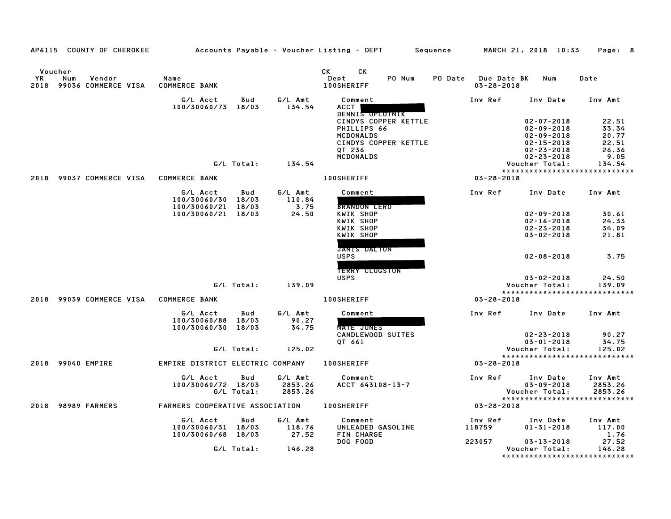|                      | AP6115 COUNTY OF CHEROKEE                 |                                                      |            |                           | Accounts Payable – Voucher Listing – DEPT         Sequence                                |         |                                 | MARCH 21, 2018 10:33                                                                             | Page: 8                                   |
|----------------------|-------------------------------------------|------------------------------------------------------|------------|---------------------------|-------------------------------------------------------------------------------------------|---------|---------------------------------|--------------------------------------------------------------------------------------------------|-------------------------------------------|
| Voucher<br><b>YR</b> | Vendor<br>Num<br>2018 99036 COMMERCE VISA | Name<br><b>COMMERCE BANK</b>                         |            |                           | <b>CK</b><br>CK<br>PO Num<br>Dept<br>100SHERIFF                                           | PO Date | Due Date BK<br>$03 - 28 - 2018$ | Num                                                                                              | Date                                      |
|                      |                                           | G/L Acct<br>100/30060/73 18/03                       | Bud        | G/L Amt<br>134.54         | Comment<br><b>ACCT</b><br>DENNIS OPLOTNIK                                                 |         | Inv Ref                         | Inv Date                                                                                         | Inv Amt                                   |
|                      |                                           |                                                      |            |                           | CINDYS COPPER KETTLE<br>PHILLIPS 66<br><b>MCDONALDS</b><br>CINDYS COPPER KETTLE<br>QT 236 |         |                                 | $02 - 07 - 2018$<br>$02 - 09 - 2018$<br>$02 - 09 - 2018$<br>$02 - 15 - 2018$<br>$02 - 23 - 2018$ | 22.51<br>33.34<br>20.77<br>22.51<br>26.36 |
|                      |                                           |                                                      |            |                           | <b>MCDONALDS</b>                                                                          |         |                                 | $02 - 23 - 2018$                                                                                 | 9.05                                      |
|                      |                                           |                                                      | G/L Total: | 134.54                    |                                                                                           |         |                                 | Voucher Total:                                                                                   | 134.54<br>*****************************   |
| 2018                 | 99037 COMMERCE VISA                       | COMMERCE BANK                                        |            |                           | <b>100SHERIFF</b>                                                                         |         | $03 - 28 - 2018$                |                                                                                                  |                                           |
|                      |                                           | G/L Acct<br>100/30060/30 18/03                       | Bud        | G/L Amt<br>110.84         | Comment                                                                                   |         | Inv Ref                         | Inv Date Inv Amt                                                                                 |                                           |
|                      |                                           | 100/30060/21 18/03<br>100/30060/21 18/03             |            | 3.75<br>24.50             | <b>BRANDON LERO</b><br>KWIK SHOP                                                          |         |                                 | $02 - 09 - 2018$                                                                                 | 30.61                                     |
|                      |                                           |                                                      |            |                           | KWIK SHOP                                                                                 |         |                                 | $02 - 16 - 2018$                                                                                 | 24.33                                     |
|                      |                                           |                                                      |            |                           | <b>KWIK SHOP</b><br>KWIK SHOP                                                             |         |                                 | $02 - 23 - 2018$<br>$03 - 02 - 2018$                                                             | 34.09<br>21.81                            |
|                      |                                           |                                                      |            |                           |                                                                                           |         |                                 |                                                                                                  |                                           |
|                      |                                           |                                                      |            |                           | <b>JANIS DALTON</b><br><b>USPS</b>                                                        |         |                                 | $02 - 08 - 2018$                                                                                 | 3.75                                      |
|                      |                                           |                                                      |            |                           | <b>TERRY CLUGSTON</b><br><b>USPS</b>                                                      |         |                                 | $03 - 02 - 2018$                                                                                 | 24.50                                     |
|                      |                                           |                                                      | G/L Total: | 139.09                    |                                                                                           |         |                                 | Voucher Total:                                                                                   | 139.09                                    |
|                      |                                           |                                                      |            |                           |                                                                                           |         |                                 |                                                                                                  | *****************************             |
|                      | 2018 99039 COMMERCE VISA COMMERCE BANK    |                                                      |            |                           | <b>100SHERIFF</b>                                                                         |         | $03 - 28 - 2018$                |                                                                                                  |                                           |
|                      |                                           | G/L Acct<br>100/30060/88 18/03<br>100/30060/30 18/03 | Bud        | G/L Amt<br>90.27<br>34.75 | Comment<br><b>NATE JONES</b>                                                              |         | Inv Ref                         | Inv Date                                                                                         | Inv Amt                                   |
|                      |                                           |                                                      |            |                           | CANDLEWOOD SUITES                                                                         |         |                                 | $02 - 23 - 2018$                                                                                 | 90.27                                     |
|                      |                                           |                                                      |            |                           | QT 661                                                                                    |         |                                 | $03 - 01 - 2018$                                                                                 | 34.75                                     |
|                      |                                           |                                                      | G/L Total: | 125.02                    |                                                                                           |         |                                 | Voucher Total:                                                                                   | 125.02<br>*****************************   |
|                      | 2018 99040 EMPIRE                         | EMPIRE DISTRICT ELECTRIC COMPANY                     |            |                           | <b>100SHERIFF</b>                                                                         |         | $03 - 28 - 2018$                |                                                                                                  |                                           |
|                      |                                           | G/L Acct<br>100/30060/72 18/03                       | Bud        | G/L Amt<br>2853.26        | Comment<br>ACCT 643108-13-7                                                               |         | Inv Ref                         | Inv Date<br>$03 - 09 - 2018$                                                                     | Inv Amt<br>2853.26                        |
|                      |                                           |                                                      | G/L Total: | 2853.26                   |                                                                                           |         |                                 | Voucher Total:                                                                                   | 2853.26<br>****************************** |
|                      | 2018 98989 FARMERS                        | FARMERS COOPERATIVE ASSOCIATION                      |            |                           | <b>100SHERIFF</b>                                                                         |         | 03-28-2018                      |                                                                                                  |                                           |
|                      |                                           | G/L Acct                                             | Bud        | G/L Amt                   | Comment                                                                                   |         | Inv Ref                         | Inv Date                                                                                         | Inv Amt                                   |
|                      |                                           | 100/30060/31 18/03                                   |            | 118.76                    | UNLEADED GASOLINE                                                                         |         | 118759                          | $01 - 31 - 2018$                                                                                 | 117.00                                    |
|                      |                                           | 100/30060/68 18/03                                   |            | 27.52                     | FIN CHARGE<br>DOG FOOD                                                                    |         | 223057                          | $03 - 13 - 2018$                                                                                 | 1.76<br>27.52                             |
|                      |                                           |                                                      | G/L Total: | 146.28                    |                                                                                           |         |                                 | Voucher Total:                                                                                   | 146.28                                    |
|                      |                                           |                                                      |            |                           |                                                                                           |         |                                 |                                                                                                  | *****************************             |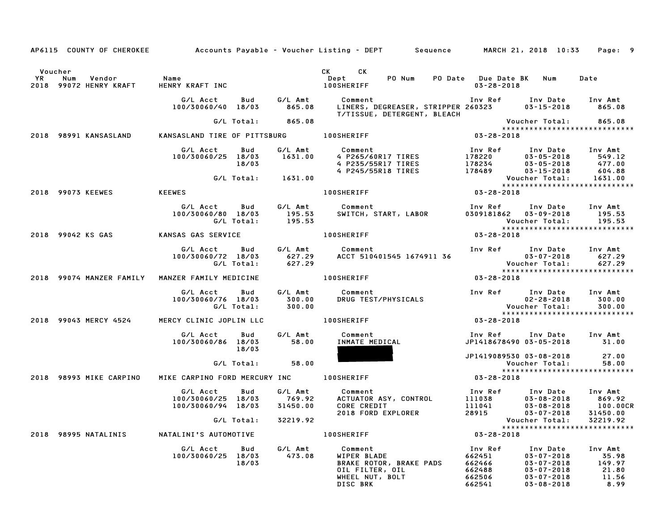|           |                                                                    |                    |       |                   | AP6115 COUNTY OF CHEROKEE Accounts Payable - Voucher Listing - DEPT Sequence MARCH 21, 2018 10:33 Page: 9                                                                                                                                                   |                                                                                          |                                                      |
|-----------|--------------------------------------------------------------------|--------------------|-------|-------------------|-------------------------------------------------------------------------------------------------------------------------------------------------------------------------------------------------------------------------------------------------------------|------------------------------------------------------------------------------------------|------------------------------------------------------|
| <b>YR</b> | Voucher<br>Vendor<br>Num<br>2018 99072 HENRY KRAFT HENRY KRAFT INC | Name               |       |                   | CK CK<br>Dept . PO Num PO Date Due Date BK Num Date<br><b>100SHERIFF</b>                                                                                                                                                                                    | 03-28-2018                                                                               |                                                      |
|           |                                                                    |                    |       |                   | G/L Acct      Bud      G/L Amt        Comment                                 Inv Ref      Inv Date     Inv Amt<br>100/30060/40   18/03        865.08     LINERS, DEGREASER, STRIPPER 260323        03–15–2018        865.08<br>T/TISSUE, DETERGENT, BLEACH |                                                                                          |                                                      |
|           |                                                                    |                    |       | G/L Total: 865.08 |                                                                                                                                                                                                                                                             |                                                                                          | Voucher Total: 865.08<br>*************************** |
|           |                                                                    |                    |       |                   | *****<br>2018–28-2018 ANSASLAND KANSASLAND TIRE OF PITTSBURG 100SHERIFF 2018 2018                                                                                                                                                                           |                                                                                          |                                                      |
|           |                                                                    |                    |       |                   | 6/L Acct bud 6/L Amt Comment Inv Ref Inv Date Inv Amt<br>100/30060/25 18/03 1631.00 4 P265/60R17 TIRES 178220 03-05-2018 549.12<br>18/03 4 P245/55R17 TIRES 178234 03-05-2018 477.00<br>6/L Total: 1631.00 100SHERIFF 100SHERIFF 03-                        |                                                                                          |                                                      |
|           |                                                                    |                    |       |                   |                                                                                                                                                                                                                                                             |                                                                                          |                                                      |
|           | 2018 99073 KEEWES KEEWES                                           |                    |       |                   |                                                                                                                                                                                                                                                             |                                                                                          |                                                      |
|           |                                                                    |                    |       |                   |                                                                                                                                                                                                                                                             |                                                                                          |                                                      |
|           |                                                                    |                    |       |                   |                                                                                                                                                                                                                                                             |                                                                                          |                                                      |
|           |                                                                    |                    |       |                   | G/L Acct Bud G/L Amt Comment Inv Ref Inv Date Inv Amt<br>100/30060/72 18/03 627.29 ACCT 510401545 1674911 36 03–07–2018 627.29<br>6/L Total: 627.29 627.29 RCCT 510401545 1674911 36 Voucher Total: 627.29                                                  |                                                                                          |                                                      |
|           |                                                                    |                    |       |                   | $03 - 28 - 2018$                                                                                                                                                                                                                                            |                                                                                          |                                                      |
|           |                                                                    |                    |       |                   |                                                                                                                                                                                                                                                             |                                                                                          |                                                      |
|           |                                                                    |                    |       |                   | 2018 99043 MERCY 4524 MERCY CLINIC JOPLIN LLC 100SHERIFF 2018 1005 MERCY 03-28-2018                                                                                                                                                                         |                                                                                          |                                                      |
|           |                                                                    |                    | 18/03 |                   |                                                                                                                                                                                                                                                             | Inv Ref Inv Date Inv Amt<br>JP1418678490 03-05-2018 31.00                                |                                                      |
|           |                                                                    |                    |       | G/L Total: 58.00  |                                                                                                                                                                                                                                                             | JP1419089530 03-08-2018 27.00<br>Voucher Total:    58.00<br>**************************** |                                                      |
|           | 2018 98993 MIKE CARPINO                                            |                    |       |                   | MIKE CARPINO FORD MERCURY INC 100SHERIFF 7 7 28-2018                                                                                                                                                                                                        |                                                                                          |                                                      |
|           |                                                                    |                    |       |                   | 6/LAcct Bud 6/LAmt Comment InvRef InvDate InvAmt<br>100/30060/25 18/03 769.92 ACTUATORASY,CONTROL 111038 03-08-2018 869.92<br>100/30060/94 18/03 31450.00 CORECREDIT 2018 111041 03-08-2018 100.00CR<br>6/LTotal: 32219.92<br>2018 FORD EX                  |                                                                                          |                                                      |
|           |                                                                    |                    |       |                   |                                                                                                                                                                                                                                                             |                                                                                          |                                                      |
|           |                                                                    |                    |       |                   |                                                                                                                                                                                                                                                             |                                                                                          |                                                      |
|           |                                                                    | 100/30060/25 18/03 |       |                   | 6/L Acct Bud G/L Amt Comment Inv Ref Inv Date Inv Amt<br>100/30060/25 18/03 473.08 WIPER BLADE 662451 03-07-2018 35.98<br>18/03 18/03 BRAKE ROTOR, BRAKE PADS 662466 03-07-2018 149.97<br>0IL FILTER, OIL 662488 03-07-2018 21.80<br>WHEEL                  |                                                                                          |                                                      |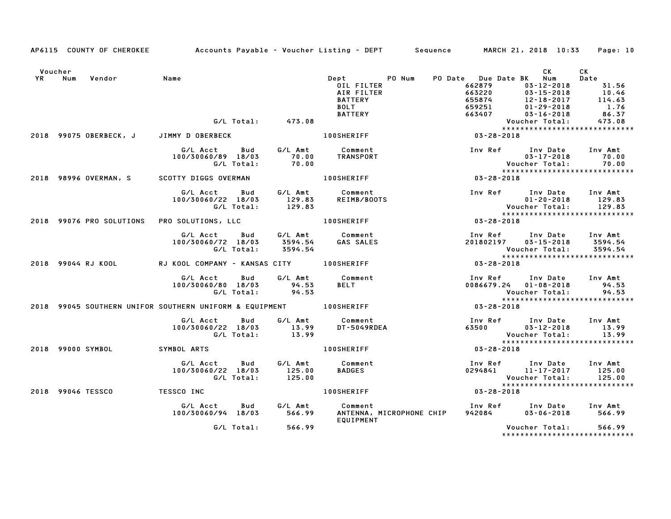|         |     | AP6115 COUNTY OF CHEROKEE |                                                                    |            |                    | Accounts Payable – Voucher Listing – DEPT         Sequence         MARCH 21, 2018  10:33 |                                     |                                                            | Page: 10              |
|---------|-----|---------------------------|--------------------------------------------------------------------|------------|--------------------|------------------------------------------------------------------------------------------|-------------------------------------|------------------------------------------------------------|-----------------------|
| Voucher |     |                           |                                                                    |            |                    |                                                                                          |                                     | CK L                                                       | CK                    |
| YR      | Num | Vendor                    | Name                                                               |            |                    | Dept PO Num                                                                              |                                     | PO Date Due Date BK Num                                    | Date                  |
|         |     |                           |                                                                    |            |                    | OIL FILTER                                                                               | 662879                              | 03-12-2018                                                 | 31.56                 |
|         |     |                           |                                                                    |            |                    | AIR FILTER                                                                               | 663220                              | $03 - 15 - 2018$<br>03-15-2018<br>12-18-2017<br>01-29-2018 | 10.46                 |
|         |     |                           |                                                                    |            |                    | <b>BATTERY</b>                                                                           | 655874                              |                                                            | $\frac{114.63}{1.76}$ |
|         |     |                           |                                                                    |            |                    | <b>BOLT</b>                                                                              | 659251                              |                                                            | 1.76                  |
|         |     |                           |                                                                    |            |                    | <b>BATTERY</b>                                                                           |                                     | 03-16-2018                                                 | 86.37                 |
|         |     |                           |                                                                    | G/L Total: | 473.08             |                                                                                          |                                     | Voucher Total:                                             | 473.08                |
|         |     |                           | 2018 99075 OBERBECK, J JIMMY D OBERBECK                            |            |                    | <b>100SHERIFF</b>                                                                        | $663407$ Youc<br>****<br>03-28-2018 |                                                            |                       |
|         |     |                           | G/L Acct                                                           |            |                    | Bud G/L Amt Comment                                                                      | Inv Ref Inv Date Inv Amt            |                                                            |                       |
|         |     |                           | 100/30060/89 18/03                                                 |            |                    |                                                                                          |                                     | $03 - 17 - 2018$                                           | 70.00                 |
|         |     |                           |                                                                    | G/L Total: |                    | <b>70.00 TRANSPORT<br/>70.00</b> TRANSPORT                                               |                                     | <b>Voucher Total:</b>                                      | 70.00                 |
|         |     |                           |                                                                    |            |                    |                                                                                          |                                     | *****************************                              |                       |
|         |     |                           | 2018 98996 OVERMAN, S SCOTTY DIGGS OVERMAN AND MONSHERIFF          |            |                    |                                                                                          | Voue<br>* * * *<br>03-28-2018       |                                                            |                       |
|         |     |                           | G/L Acct                                                           |            |                    | Bud G/L Amt Comment                                                                      |                                     | Inv Ref Inv Date Inv Amt                                   |                       |
|         |     |                           | 100/30060/22 18/03                                                 |            |                    | REIMB/BOOTS                                                                              |                                     | $01 - 20 - 2018$                                           | 129.83                |
|         |     |                           |                                                                    | G/L Total: | $129.83$<br>129.83 |                                                                                          |                                     |                                                            |                       |
|         |     |                           |                                                                    |            |                    |                                                                                          |                                     | Voucher Total: 129.83<br>*****************************     |                       |
|         |     | 2018 99076 PRO SOLUTIONS  | PRO SOLUTIONS, LLC 100SHERIFF                                      |            |                    |                                                                                          | $03 - 28 - 2018$                    |                                                            |                       |
|         |     |                           | G/L Acct Bud                                                       |            |                    |                                                                                          |                                     | Inv Ref      Inv Date                                      | Inv Amt               |
|         |     |                           | 100/30060/72 18/03                                                 |            |                    | G/L Amt          Comment<br>3594.54        GAS SALES                                     | 201802197                           |                                                            | 03-15-2018 3594.54    |
|         |     |                           |                                                                    | G/L Total: | 3594.54            |                                                                                          |                                     | Voucher Total:                                             | 3594.54               |
|         |     |                           |                                                                    |            |                    |                                                                                          |                                     | *****************************                              |                       |
|         |     | 2018 99044 RJ KOOL        | RJ KOOL COMPANY - KANSAS CITY 100SHERIFF                           |            |                    |                                                                                          | $03 - 28 - 2018$                    |                                                            |                       |
|         |     |                           | G/L Acct Bud                                                       |            |                    | G/L Amt Comment                                                                          |                                     | Inv Ref Inv Date Inv Amt                                   |                       |
|         |     |                           | 100/30060/80 18/03 94.53                                           |            |                    | <b>BELT</b>                                                                              |                                     | 0086679.24 01-08-2018 94.53                                |                       |
|         |     |                           |                                                                    |            | G/L Total: 94.53   |                                                                                          |                                     | Voucher Total:                                             | 94.53                 |
|         |     |                           |                                                                    |            |                    |                                                                                          |                                     | *****************************                              |                       |
|         |     |                           | 2018 99045 SOUTHERN UNIFOR SOUTHERN UNIFORM & EQUIPMENT 100SHERIFF |            |                    |                                                                                          | $03 - 28 - 2018$                    |                                                            |                       |
|         |     |                           | G/L Acct Bud                                                       |            |                    | G/L Amt Comment                                                                          |                                     | Inv Ref Inv Date Inv Amt                                   |                       |
|         |     |                           |                                                                    |            |                    | DT-5049RDEA                                                                              |                                     | 63500 03-12-2018                                           | 13.99                 |
|         |     |                           | 100/30060/22 18/03 13.99<br>G/L Total: 13.99                       |            |                    |                                                                                          |                                     | Voucher Total:                                             | 13.99                 |
|         |     |                           |                                                                    |            |                    |                                                                                          |                                     |                                                            |                       |
|         |     |                           | 2018 99000 SYMBOL SYMBOL ARTS                                      |            |                    | <b>100SHERIFF</b>                                                                        | 03-28-2018                          |                                                            |                       |
|         |     |                           | G/L Acct Bud                                                       |            |                    | G/L Amt Comment                                                                          |                                     | Inv Ref Inv Date Inv Amt                                   |                       |
|         |     |                           | 100/30060/22 18/03                                                 |            |                    | <b>BADGES</b>                                                                            |                                     | 0294841 11-17-2017 125.00                                  |                       |
|         |     |                           | G/L Total:                                                         |            | 125.00<br>125.00   |                                                                                          |                                     | Voucher Total:                                             | 125.00                |
|         |     |                           |                                                                    |            |                    |                                                                                          |                                     |                                                            |                       |
|         |     | 2018 99046 TESSCO         | TESSCO INC                                                         |            |                    | 100SHERIFF 03-28-2018                                                                    |                                     |                                                            |                       |
|         |     |                           | G/L Acct Bud                                                       |            |                    | G/L Amt Comment                                                                          |                                     | Inv Ref Inv Date Inv Amt                                   |                       |
|         |     |                           | 100/30060/94 18/03 566.99                                          |            |                    | ANTENNA, MICROPHONE CHIP                                                                 | 942084                              | $03 - 06 - 2018$                                           | 566.99                |
|         |     |                           |                                                                    |            |                    | EQUIPMENT                                                                                |                                     |                                                            |                       |
|         |     |                           |                                                                    |            | G/L Total: 566.99  |                                                                                          |                                     | Voucher Total: 566.99                                      |                       |
|         |     |                           |                                                                    |            |                    |                                                                                          |                                     | *******************************                            |                       |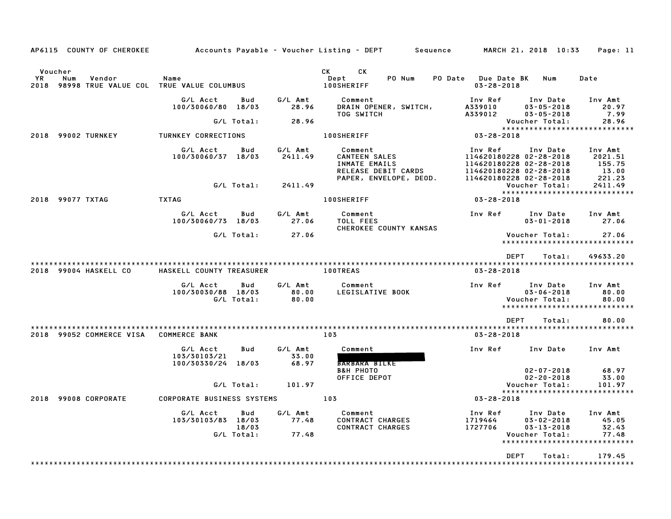| AP6115 COUNTY OF CHEROKEE                                                          |                                                                 |                           | Accounts Payable – Voucher Listing – DEPT<br>Sequence                                             | MARCH 21, 2018 10:33                                                                                                                 | Page: 11                                        |
|------------------------------------------------------------------------------------|-----------------------------------------------------------------|---------------------------|---------------------------------------------------------------------------------------------------|--------------------------------------------------------------------------------------------------------------------------------------|-------------------------------------------------|
| Voucher<br>ΥR<br>Num<br>Vendor<br>2018<br>98998 TRUE VALUE COL TRUE VALUE COLUMBUS | Name                                                            |                           | CK<br><b>CK</b><br>PO Num<br>Dept<br>100SHERIFF                                                   | PO Date Due Date BK<br>Num<br>$03 - 28 - 2018$                                                                                       | Date                                            |
|                                                                                    | G/L Acct<br>Bud<br>100/30060/80<br>18/03                        | G/L Amt<br>28.96          | Comment<br>DRAIN OPENER, SWITCH,<br>TOG SWITCH                                                    | Inv Ref<br>Inv Date<br>A339010<br>$03 - 05 - 2018$<br>A339012<br>$03 - 05 - 2018$                                                    | Inv Amt<br>20.97<br>7.99                        |
|                                                                                    | G/L Total:                                                      | 28.96                     |                                                                                                   | Voucher Total:                                                                                                                       | 28.96                                           |
| 2018 99002 TURNKEY                                                                 | TURNKEY CORRECTIONS                                             |                           | <b>100SHERIFF</b>                                                                                 | *****************************<br>03-28-2018                                                                                          |                                                 |
|                                                                                    |                                                                 |                           |                                                                                                   |                                                                                                                                      |                                                 |
|                                                                                    | G/L Acct<br>Bud<br>100/30060/37 18/03                           | G/L Amt<br>2411.49        | Comment<br><b>CANTEEN SALES</b><br>INMATE EMAILS<br>RELEASE DEBIT CARDS<br>PAPER, ENVELOPE, DEOD. | Inv Ref<br>Inv Date<br>114620180228 02-28-2018<br>114620180228 02-28-2018<br>114620180228 02-28-2018<br>114620180228 02-28-2018      | Inv Amt<br>2021.51<br>155.75<br>13.00<br>221.23 |
|                                                                                    | G/L Total:                                                      | 2411.49                   |                                                                                                   | Voucher Total:                                                                                                                       | 2411.49                                         |
| 2018<br>99077 TXTAG                                                                | <b>TXTAG</b>                                                    |                           | <b>100SHERIFF</b>                                                                                 | *****************************<br>$03 - 28 - 2018$                                                                                    |                                                 |
|                                                                                    | G/L Acct<br>Bud<br>100/30060/73 18/03                           | G/L Amt<br>27.06          | Comment<br>TOLL FEES                                                                              | Inv Ref<br>Inv Date<br>$03 - 01 - 2018$                                                                                              | Inv Amt<br>27.06                                |
|                                                                                    | G/L Total:                                                      | 27.06                     | CHEROKEE COUNTY KANSAS                                                                            | Voucher Total:                                                                                                                       | 27.06                                           |
|                                                                                    |                                                                 |                           |                                                                                                   | *****************************                                                                                                        |                                                 |
|                                                                                    |                                                                 |                           |                                                                                                   | <b>DEPT</b><br>Total:                                                                                                                | 49633.20                                        |
| 2018 99004 HASKELL CO                                                              | HASKELL COUNTY TREASURER                                        |                           | <b>100TREAS</b>                                                                                   | $03 - 28 - 2018$                                                                                                                     |                                                 |
|                                                                                    | G/L Acct<br>Bud<br>100/30030/88 18/03<br>G/L Total:             | G/L Amt<br>80.00<br>80.00 | Comment<br>LEGISLATIVE BOOK                                                                       | Inv Ref<br>Inv Date<br>$03 - 06 - 2018$<br>Voucher Total:<br>*****************************                                           | Inv Amt<br>80.00<br>80.00                       |
|                                                                                    |                                                                 |                           |                                                                                                   | <b>DEPT</b><br>Total:                                                                                                                | 80.00                                           |
| 2018 99052 COMMERCE VISA                                                           | <b>COMMERCE BANK</b>                                            |                           | 103                                                                                               | $03 - 28 - 2018$                                                                                                                     |                                                 |
|                                                                                    | G/L Acct<br>Bud<br>103/30103/21<br>100/30330/24 18/03           | G/L Amt<br>33.00<br>68.97 | Comment<br><b>BARBARA BILKE</b>                                                                   | Inv Ref<br>Inv Date                                                                                                                  | Inv Amt                                         |
|                                                                                    | G/L Total:                                                      | 101.97                    | <b>B&amp;H PHOTO</b><br>OFFICE DEPOT                                                              | $02 - 07 - 2018$<br>$02 - 20 - 2018$<br>Voucher Total:                                                                               | 68.97<br>33.00<br>101.97                        |
| 2018 99008 CORPORATE                                                               | <b>CORPORATE BUSINESS SYSTEMS</b>                               |                           | 103                                                                                               | *****************************<br>$03 - 28 - 2018$                                                                                    |                                                 |
|                                                                                    | G/L Acct<br>Bud<br>103/30103/83<br>18/03<br>18/03<br>G/L Total: | G/L Amt<br>77.48<br>77.48 | Comment<br>CONTRACT CHARGES<br><b>CONTRACT CHARGES</b>                                            | Inv Ref<br>Inv Date<br>$03 - 02 - 2018$<br>1719464<br>1727706<br>$03 - 13 - 2018$<br>Voucher Total:<br>***************************** | Inv Amt<br>45.05<br>32.43<br>77.48              |
|                                                                                    |                                                                 |                           |                                                                                                   |                                                                                                                                      |                                                 |
|                                                                                    |                                                                 |                           |                                                                                                   | <b>DEPT</b><br>Total:                                                                                                                | 179.45                                          |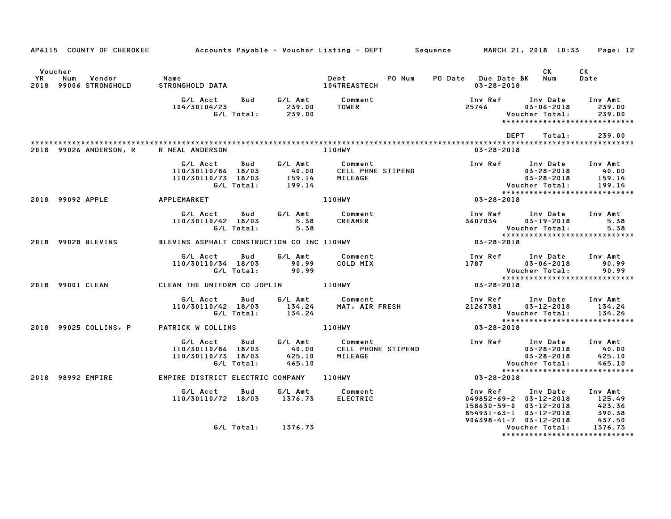|                      | AP6115 COUNTY OF CHEROKEE    | Accounts Payable – Voucher Listing – DEPT       Sequence      MARCH 21, 2018 10:33     Page: 12                                                                                                                                       |      |                     |                                                                                                                                                    |                                                                                                                                                              |                                    |                                          |
|----------------------|------------------------------|---------------------------------------------------------------------------------------------------------------------------------------------------------------------------------------------------------------------------------------|------|---------------------|----------------------------------------------------------------------------------------------------------------------------------------------------|--------------------------------------------------------------------------------------------------------------------------------------------------------------|------------------------------------|------------------------------------------|
| Voucher<br><b>YR</b> | Num<br>2018 99006 STRONGHOLD |                                                                                                                                                                                                                                       |      | <b>Dept</b>         | PO Num                                                                                                                                             | PO Date Due Date BK Num<br>03-28-2018                                                                                                                        | CK                                 | <b>CK</b><br>Date                        |
|                      |                              | G/L Acct  Bud  G/L Amt  Comment<br>104/30104/23   239.00  TOWER                                                                                                                                                                       |      | TOWER <b>TOWER</b>  |                                                                                                                                                    | Inv Ref Inv Date Inv Amt<br>25746                                                                                                                            | $03 - 06 - 2018$<br>Voucher Total: | 239.00<br>239.00                         |
|                      |                              |                                                                                                                                                                                                                                       |      |                     |                                                                                                                                                    | DEPT                                                                                                                                                         | Total:                             | 239.00                                   |
|                      | 2018 99026 ANDERSON, R       | R NEAL ANDERSON                                                                                                                                                                                                                       |      | 110HWY              |                                                                                                                                                    | 03-28-2018                                                                                                                                                   |                                    |                                          |
|                      |                              | Acct Bud G/LAmt Comment<br>1110/86 18/03     40.00   CELLPHNE STIPEND<br>1110/73 18/03    159.14   MILEAGE<br>G/LTotal:    199.14<br>G/L Acct<br>110/30110/86 18/03<br>110/30110/73 18/03                                             |      |                     | Inv Ref Inv Date Inv Amt (1798)<br>199.14 (1898-28-2018)<br>199.14 (199.14 Voucher Total: 199.14<br>199.14 (1898-28-2018)<br>199.14 (1898-28-2018) |                                                                                                                                                              |                                    | 199.14                                   |
|                      |                              | 2018 99092 APPLE APPLEMARKET                                                                                                                                                                                                          |      | 110HWY              |                                                                                                                                                    |                                                                                                                                                              |                                    | *****************************            |
|                      |                              | G/L Acct Bud G/L Amt Comment<br>110/30110/42 18/03 5.38<br>G/L Total:                                                                                                                                                                 | 5.38 | CREAMER             |                                                                                                                                                    |                                                                                                                                                              |                                    |                                          |
|                      |                              | 2018 99028 BLEVINS BLEVINS ASPHALT CONSTRUCTION CO INC 110HWY                                                                                                                                                                         |      |                     |                                                                                                                                                    |                                                                                                                                                              |                                    |                                          |
|                      |                              | G/L Acct Bud G/L Amt<br>110/30110/34 18/03 90.99<br>G/L Total: 90.99                                                                                                                                                                  |      | Comment<br>COLD MIX | 100 Find The Date inv Amt<br>1787 - 1787 - 1787 - 1787 - 1787 - 1890<br>- 100 - 100 Find Total                                                     |                                                                                                                                                              |                                    |                                          |
|                      | 2018 99001 CLEAN             | CLEAN THE UNIFORM CO JOPLIN 110HWY                                                                                                                                                                                                    |      |                     |                                                                                                                                                    |                                                                                                                                                              |                                    |                                          |
|                      |                              | G/L Acct Bud G/L Amt Comment<br>110/30110/42 18/03 134.24 MAT, AIR FRESH 21267381 03-12-2018 134.24<br>G/L Total: 134.24 MAT, AIR FRESH 21267381 03-12-2018 134.24<br>TRICK W COLLINS 110HWY 103-28-2018 134.24                       |      |                     |                                                                                                                                                    |                                                                                                                                                              |                                    | *****************************            |
|                      | 2018 99025 COLLINS, P        | PATRICK W COLLINS <b>EXAMPLE 110HWY</b>                                                                                                                                                                                               |      |                     |                                                                                                                                                    |                                                                                                                                                              |                                    |                                          |
|                      |                              | 6/L Acct Bud G/L Amt Comment<br>110/30110/86 18/03 40.00 CELL PHONE STIPEND 110/30110/73 18/03 425.10 MILEAGE<br>G/L Total: 465.10 MILEAGE Voucher Total: 465.10<br>EMPIRE DISTRICT ELECTRIC COMPANY 110HWY 03-28-2018<br>CALL TOTAL: |      |                     |                                                                                                                                                    |                                                                                                                                                              |                                    | *****************************            |
|                      | 2018 98992 EMPIRE            |                                                                                                                                                                                                                                       |      |                     |                                                                                                                                                    |                                                                                                                                                              |                                    |                                          |
|                      |                              | G/L Acct  Bud  G/L Amt  Comment<br>110/30110/72 18/03  1376.73  ELECTRIC                                                                                                                                                              |      |                     |                                                                                                                                                    | 1nv Ref 1nv Date Inv Amt<br>049852–69–2 03–12–2018 125.49<br>158630–59–0 03–12–2018 423.36<br>854931–63–1 03–12–2018 390.38<br>906398–41–7 03–12–2018 437.50 |                                    |                                          |
|                      |                              | G/L Total: 1376.73                                                                                                                                                                                                                    |      |                     |                                                                                                                                                    |                                                                                                                                                              | Voucher Total:                     | 1376.73<br>***************************** |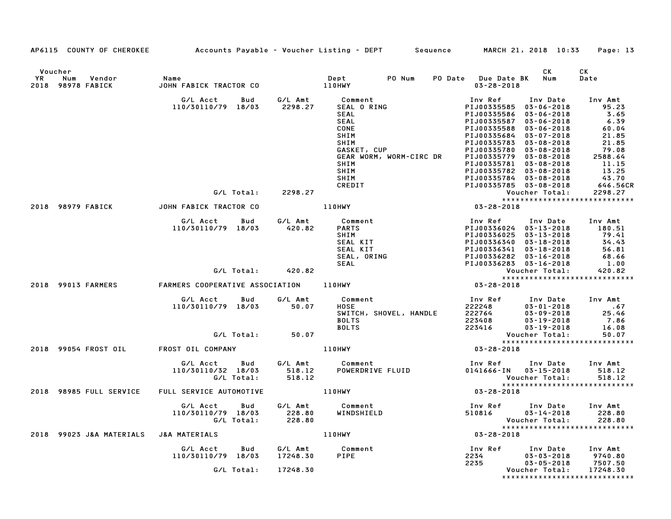|               |                                 |                                                                                |                                 |                                                                                                                                                                       | AP6115 COUNTY OF CHEROKEE Accounts Payable - Voucher Listing - DEPT Sequence MARCH 21, 2018 10:33 Page: 13                                                                                                                                                                                                                                       |                                                                                                                        |
|---------------|---------------------------------|--------------------------------------------------------------------------------|---------------------------------|-----------------------------------------------------------------------------------------------------------------------------------------------------------------------|--------------------------------------------------------------------------------------------------------------------------------------------------------------------------------------------------------------------------------------------------------------------------------------------------------------------------------------------------|------------------------------------------------------------------------------------------------------------------------|
| Voucher<br>YR | Num Vendor<br>2018 98978 FABICK | Name                                                                           |                                 |                                                                                                                                                                       | CK.<br>PO Date Due Date BK Num<br>$03 - 28 - 2018$                                                                                                                                                                                                                                                                                               | CK<br>Date                                                                                                             |
|               |                                 | G/L Acct        Bud         G/L Amt            Comment<br>110/30110/79 18/03   | 2298.27                         | <b>SEAL O RING</b><br>SEAL<br>SEAL<br>CONE<br>SHIM<br>GASKET, CUP<br>GEAR WORM, work of<br>SHIM<br>SHIM<br>SHIM                                                       | Inv Ref      Inv Date<br>PIJ00335585 03-06-2018<br>PIJ00335586 03-06-2018<br>PIJ00335587<br>03-06-2018<br>PIJ00335588 03-06-2018<br>PIJ00335684 03-07-2018<br>PIJ00335783 03-08-2018<br>PIJ00335780 03-08-2018<br>PIJ00335779 03-08-2018<br>PIJ00335781 03-08-2018<br>PIJ00335782 03-08-2018<br>PIJ00335784 03-08-2018<br>PIJ00335785 03-08-2018 | Inv Amt<br>95.23<br>3.65<br>6.39<br>60.04<br>21.85<br>21.85<br>79.08<br>2588.64<br>11.15<br>13.25<br>43.70<br>646.56CR |
|               |                                 | G/L Total: 2298.27                                                             |                                 | CREDIT                                                                                                                                                                |                                                                                                                                                                                                                                                                                                                                                  | 2298.27                                                                                                                |
|               | 2018 98979 FABICK               | JOHN FABICK TRACTOR CO                                                         |                                 | 110HWY                                                                                                                                                                | Voucher lotal: 2270.2.<br>****************************<br>03-28-2018                                                                                                                                                                                                                                                                             |                                                                                                                        |
|               |                                 | G/L Acct   Bud<br>110/30110/79 18/03<br>G/L Total: 420.82                      | 420.82                          | G/L Amt Comment<br><b>PARTS</b><br>SHIM<br>SEAL KIT<br>SEAL KI <sub>I</sub><br>SEAL, ORING                                                                            | Inv Ref      Inv Date     Inv Amt<br>PIJ00336024 03-13-2018<br>PIJ00336025 03-13-2018<br>PIJ00336340 03-18-2018<br>PIJ00336341 03-18-2018<br>PIJ00336282 03-16-2018<br>PIJ00336283 03-16-2018                                                                                                                                                    | 180.51<br>79.41<br>34.43<br>56.81<br>68.66<br>1.00<br>420.82                                                           |
|               | 2018 99013 FARMERS              |                                                                                |                                 | VILLIVE TRANSIC POSTAGE AND TRANSPORTED TRANSPORTED TRANSPORTED TRANSPORTED TRANSPORTED TRANSPORTED TRANSPORTED<br>FARMERS COOPERATIVE ASSOCIATION 110HWY 197-28-2018 | Voucher Total: 420.82<br>****************************                                                                                                                                                                                                                                                                                            |                                                                                                                        |
|               |                                 | G/L Acct   Bud<br>110/30110/79 18/03 50.07<br>G/L Total: 50.07                 | G/L Amt                         | Comment<br><b>HOSE</b><br>HOSE<br>SWITCH, SHOVEL, HANDLE<br>POLIC<br><b>BOLTS</b><br><b>BOLTS</b>                                                                     | Inv Ref<br>$222248$<br>222764<br>223408<br>223416<br>223416<br>03-19-2018<br>Voucher Total:                                                                                                                                                                                                                                                      | Inv Date Inv Amt<br>$03 - 01 - 2018$ .67<br>03-09-2018 25.46<br>03-19-2018 7.86<br>16.08<br>50.07                      |
|               |                                 | 2018 99054 FROST OIL FROST OIL COMPANY THE ROOM OF THE RESERVE                 |                                 |                                                                                                                                                                       | *****************************<br>$03 - 28 - 2018$                                                                                                                                                                                                                                                                                                |                                                                                                                        |
|               |                                 | G/L Acct Bud G/L Amt Comment<br>110/30110/32 18/03 518.12<br>G/L Total: 518.12 |                                 |                                                                                                                                                                       |                                                                                                                                                                                                                                                                                                                                                  | 518.12                                                                                                                 |
|               | 2018 98985 FULL SERVICE         | FULL SERVICE AUTOMOTIVE                                                        |                                 | <b>110HWY</b>                                                                                                                                                         | $03 - 28 - 2018$                                                                                                                                                                                                                                                                                                                                 |                                                                                                                        |
|               |                                 | G/L Acct<br>Bud<br>G/L Total:                                                  | 228.80                          | G/L Amt Comment                                                                                                                                                       | Inv Ref<br>Inv Date<br>510816 03-14-2018 228.80<br>Voucher Total:                                                                                                                                                                                                                                                                                | Inv Amt<br>228.80<br>*****************************                                                                     |
|               | 2018 99023 J&A MATERIALS        | <b>J&amp;A MATERIALS</b>                                                       |                                 | <b>110HWY</b>                                                                                                                                                         | $03 - 28 - 2018$                                                                                                                                                                                                                                                                                                                                 |                                                                                                                        |
|               |                                 | G/L Acct<br>Bud<br>110/30110/79 18/03<br>G/L Total:                            | G/L Amt<br>17248.30<br>17248.30 | Comment<br>PIPE                                                                                                                                                       | Inv Date<br>Inv Ref<br>$03 - 03 - 2018$<br>2234<br>2235<br>$03 - 05 - 2018$<br>Voucher Total:                                                                                                                                                                                                                                                    | Inv Amt<br>9740.80<br>7507.50<br>17248.30<br>*****************************                                             |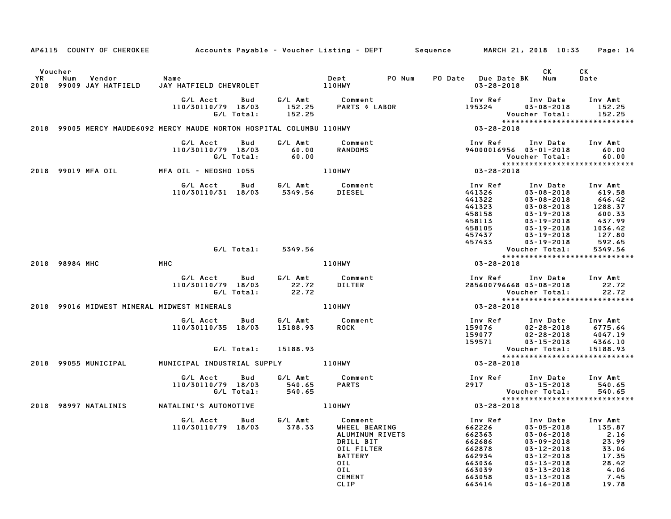|    |                    | AP6115 COUNTY OF CHEROKEE         | Accounts Payable – Voucher Listing – DEPT         Sequence         MARCH 21, 2018 10:33 |                   |                             |                                                                                                                                 |        |                     |                                                                                         |                                                                                                                                                                                              | Page: 14                                                                               |
|----|--------------------|-----------------------------------|-----------------------------------------------------------------------------------------|-------------------|-----------------------------|---------------------------------------------------------------------------------------------------------------------------------|--------|---------------------|-----------------------------------------------------------------------------------------|----------------------------------------------------------------------------------------------------------------------------------------------------------------------------------------------|----------------------------------------------------------------------------------------|
|    | Voucher            |                                   |                                                                                         |                   |                             |                                                                                                                                 |        |                     |                                                                                         | CK                                                                                                                                                                                           | СK                                                                                     |
| YR | Num                | Vendor<br>2018 99009 JAY HATFIELD | Name<br>JAY HATFIELD CHEVROLET                                                          |                   | 110HWY                      | Dept                                                                                                                            | PO Num | PO Date Due Date BK | $03 - 28 - 2018$                                                                        | Num                                                                                                                                                                                          | Date                                                                                   |
|    |                    |                                   | G/L Acct<br>110/30110/79 18/03                                                          | Bud<br>G/L Total: | G/L Amt<br>152.25<br>152.25 | Comment<br><b>PARTS \$ LABOR</b>                                                                                                |        |                     | Inv Ref<br>195324                                                                       | Inv Date<br>$03 - 08 - 2018$<br>Voucher Total:                                                                                                                                               | Inv Amt<br>152.25<br>152.25                                                            |
|    |                    |                                   | 2018 99005 MERCY MAUDE6092 MERCY MAUDE NORTON HOSPITAL COLUMBU 110HWY                   |                   |                             |                                                                                                                                 |        |                     | 03-28-2018                                                                              |                                                                                                                                                                                              | *****************************                                                          |
|    |                    |                                   | G/L Acct<br>110/30110/79 18/03                                                          | Bud<br>G/L Total: | G/L Amt<br>60.00<br>60.00   | Comment<br><b>RANDOMS</b>                                                                                                       |        |                     | Inv Ref                                                                                 | Inv Date<br>94000016956 03-01-2018<br>Voucher Total:                                                                                                                                         | Inv Amt<br>60.00<br>60.00<br>*****************************                             |
|    | 2018 99019 MFA OIL |                                   | MFA OIL - NEOSHO 1055                                                                   |                   |                             | 110HWY                                                                                                                          |        |                     | 03-28-2018                                                                              |                                                                                                                                                                                              |                                                                                        |
|    |                    |                                   | G/L Acct<br>110/30110/31 18/03                                                          |                   | Bud G/L Amt<br>5349.56      | Comment<br>DIESEL                                                                                                               |        |                     | Inv Ref<br>441326<br>441322<br>441323<br>458158<br>458113<br>458105<br>457437           | Inv Date<br>$03 - 08 - 2018$<br>$03 - 08 - 2018$<br>$03 - 08 - 2018$<br>$03 - 19 - 2018$<br>$03 - 19 - 2018$<br>$03 - 19 - 2018$<br>$03 - 19 - 2018$                                         | Inv Amt<br>619.58<br>646.42<br>1288.37<br>600.33<br>437.99<br>1036.42<br>127.80        |
|    |                    |                                   |                                                                                         | G/L Total:        | 5349.56                     |                                                                                                                                 |        |                     | 457433                                                                                  | $03 - 19 - 2018$<br>Voucher Total:                                                                                                                                                           | 592.65<br>5349.56                                                                      |
|    | 2018 98984 MHC     |                                   | MHC                                                                                     |                   |                             | 110HWY                                                                                                                          |        |                     | 03-28-2018                                                                              |                                                                                                                                                                                              | *****************************                                                          |
|    |                    |                                   | G/L Acct<br>110/30110/79 18/03                                                          | Bud<br>G/L Total: | G/L Amt<br>22.72<br>22.72   | Comment<br><b>DILTER</b>                                                                                                        |        |                     | Inv Ref                                                                                 | Inv Date<br>285600796668 03-08-2018<br>Voucher Total:                                                                                                                                        | Inv Amt<br>22.72<br>22.72<br>*****************************                             |
|    |                    |                                   | 2018 99016 MIDWEST MINERAL MIDWEST MINERALS                                             |                   |                             | <b>110HWY</b>                                                                                                                   |        |                     | 03-28-2018                                                                              |                                                                                                                                                                                              |                                                                                        |
|    |                    |                                   | G/L Acct<br>110/30110/35 18/03                                                          | Bud               | G/L Amt<br>15188.93         | Comment<br><b>ROCK</b>                                                                                                          |        |                     | Inv Ref<br>159076<br>159077<br>159571                                                   | Inv Date<br>$02 - 28 - 2018$<br>$02 - 28 - 2018$<br>$03 - 15 - 2018$                                                                                                                         | Inv Amt<br>6775.64<br>4047.19<br>4366.10                                               |
|    |                    |                                   |                                                                                         | G/L Total:        | 15188.93                    |                                                                                                                                 |        |                     |                                                                                         | Voucher Total:                                                                                                                                                                               | 15188.93<br>*****************************                                              |
|    |                    | 2018 99055 MUNICIPAL              | MUNICIPAL INDUSTRIAL SUPPLY                                                             |                   |                             | $110$ HWY                                                                                                                       |        |                     | 03-28-2018                                                                              |                                                                                                                                                                                              |                                                                                        |
|    |                    |                                   | G/L Acct<br>110/30110/79 18/03                                                          | Bud<br>G/L Total: | G/L Amt<br>540.65<br>540.65 | Comment<br><b>PARTS</b>                                                                                                         |        | 2917                | Inv Ref                                                                                 | Inv Date<br>$03 - 15 - 2018$<br>Voucher Total:                                                                                                                                               | Inv Amt<br>540.65<br>540.65<br>*****************************                           |
|    |                    | 2018 98997 NATALINIS              | NATALINI'S AUTOMOTIVE                                                                   |                   |                             | 110HWY                                                                                                                          |        |                     | 03-28-2018                                                                              |                                                                                                                                                                                              |                                                                                        |
|    |                    |                                   | G/L Acct<br>110/30110/79                                                                | Bud<br>18/03      | G/L Amt<br>378.33           | Comment<br>WHEEL BEARING<br>ALUMINUM RIVETS<br>DRILL BIT<br>OIL FILTER<br><b>BATTERY</b><br>OIL<br>OIL<br><b>CEMENT</b><br>CLIP |        | 662878              | Inv Ref<br>662226<br>662363<br>662686<br>662934<br>663036<br>663039<br>663058<br>663414 | Inv Date<br>$03 - 05 - 2018$<br>$03 - 06 - 2018$<br>$03 - 09 - 2018$<br>$03 - 12 - 2018$<br>$03 - 12 - 2018$<br>$03 - 13 - 2018$<br>$03 - 13 - 2018$<br>$03 - 13 - 2018$<br>$03 - 16 - 2018$ | Inv Amt<br>135.87<br>2.16<br>23.99<br>33.06<br>17.35<br>28.42<br>4.06<br>7.45<br>19.78 |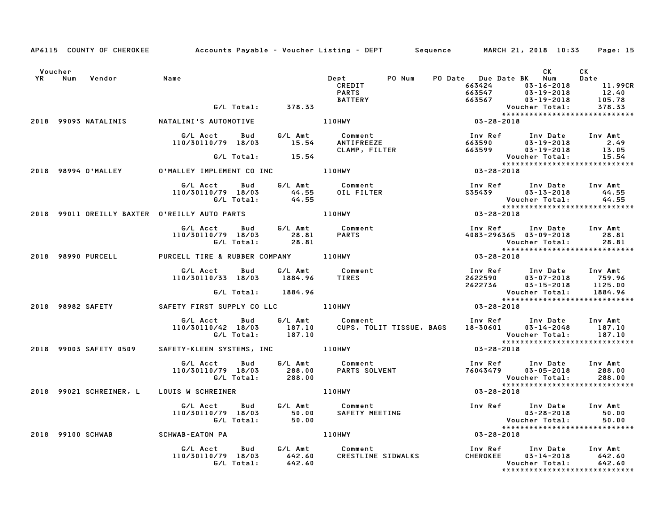|         |        |                    | AP6115 COUNTY OF CHEROKEE Accounts Payable - Voucher Listing - DEPT Sequence MARCH 21, 2018 10:33 Page: 15 |            |                           |                                                                                                  |        |                                                                                   |                |      |                                                                                                         |
|---------|--------|--------------------|------------------------------------------------------------------------------------------------------------|------------|---------------------------|--------------------------------------------------------------------------------------------------|--------|-----------------------------------------------------------------------------------|----------------|------|---------------------------------------------------------------------------------------------------------|
| Voucher |        |                    |                                                                                                            |            |                           |                                                                                                  |        |                                                                                   |                | CK C | CK                                                                                                      |
|         | YR Num | Vendor             | Name                                                                                                       |            | G/L Total: 378.33         | <b>Dept</b><br>CREDIT<br><b>PARTS</b><br><b>BATTERY</b>                                          | PO Num | PO Date Due Date BK Num<br>663424<br>663547 03-19-2018<br>663567 03-19-2018       |                |      | Date<br>03-16-2018 11.99CR<br>$12.40$<br>105.78<br>378.33                                               |
|         |        |                    |                                                                                                            |            |                           |                                                                                                  |        | Voucher Total:<br>*******************                                             |                |      | *****************************                                                                           |
|         |        |                    | 2018 99093 NATALINIS NATALINI'S AUTOMOTIVE                                                                 |            |                           | 110HWY                                                                                           |        | $03 - 28 - 2018$                                                                  |                |      |                                                                                                         |
|         |        |                    |                                                                                                            |            |                           | G/L Acct  Bud  G/L Amt  Comment<br>110/30110/79 18/03  15.54  ANTIFREEZE                         |        |                                                                                   |                |      |                                                                                                         |
|         |        |                    |                                                                                                            |            | G/L Total: 15.54          |                                                                                                  |        |                                                                                   | Voucher Total: |      | 13.05<br>15.54                                                                                          |
|         |        |                    |                                                                                                            |            |                           |                                                                                                  |        | Vouc<br>﴿ ٭ ٭ ٭ ٭<br>18 20 2 - 03 - 03                                            |                |      | VOUCNer iv<br>****************************                                                              |
|         |        |                    | 2018 98994 O'MALLEY O'MALLEY IMPLEMENT CO INC 110HWY                                                       |            |                           |                                                                                                  |        |                                                                                   |                |      |                                                                                                         |
|         |        |                    | G/L Acct   Bud                                                                                             |            |                           | G/L Amt Comment                                                                                  |        | Inv Ref      Inv Date    Inv Amt<br>S35439          03-13-2018          44.55     |                |      |                                                                                                         |
|         |        |                    | 110/30110/79 18/03                                                                                         |            |                           | OIL FILTER                                                                                       |        |                                                                                   |                |      |                                                                                                         |
|         |        |                    |                                                                                                            |            |                           |                                                                                                  |        |                                                                                   |                |      | Voucher Total: 44.55<br>****************************                                                    |
|         |        |                    | 2018 99011 OREILLY BAXTER O'REILLY AUTO PARTS                                                              |            | <b>110HWY</b>             |                                                                                                  |        | $03 - 28 - 2018$                                                                  |                |      |                                                                                                         |
|         |        |                    |                                                                                                            |            |                           | G/L Acct Bud G/L Amt Comment                                                                     |        | Inv Ref Inv Date Inv Amt                                                          |                |      |                                                                                                         |
|         |        |                    | 10/30110/79 18/03 28.81 PARTS<br>G/L Total: 28.81 PARTS<br>110/30110/79 18/03                              |            |                           |                                                                                                  |        | 4083-296365 03-09-2018                                                            |                |      | 28.81                                                                                                   |
|         |        |                    |                                                                                                            |            |                           |                                                                                                  |        | Voucher Total:                                                                    |                |      | 28.81                                                                                                   |
|         |        | 2018 98990 PURCELL | PURCELL TIRE & RUBBER COMPANY 110HWY                                                                       |            |                           |                                                                                                  |        | $03 - 28 - 2018$                                                                  |                |      |                                                                                                         |
|         |        |                    | G/L Acct<br>110/30110/33 18/03                                                                             | Bud        |                           | G/L Amt           Comment<br>1884.96       TIRES                                                 |        | Inv Ref Inv Date Inv Amt<br>$2622590$<br>2622590 03-07-2018<br>2622736 03-15-2018 |                |      | 03-07-2018 759.96<br>1125.00                                                                            |
|         |        |                    |                                                                                                            | G/L Total: | 1884.96                   |                                                                                                  |        |                                                                                   | Voucher Total: |      | 1884.96                                                                                                 |
|         |        |                    |                                                                                                            |            |                           |                                                                                                  |        |                                                                                   |                |      | *****************************                                                                           |
|         |        |                    | 2018 98982 SAFETY <b>SAFETY FIRST SUPPLY CO LLC</b> 110HWY                                                 |            |                           |                                                                                                  |        | $03 - 28 - 2018$                                                                  |                |      |                                                                                                         |
|         |        |                    |                                                                                                            |            | G/L Total:         187.10 | G/L Acct Bud G/L Amt Comment<br>110/30110/42 18/03 187.10 CUPS, TOLI<br>CUPS, TOLIT TISSUE, BAGS |        | Inv Ref      Inv Date    Inv Amt<br>18–30601       03–14–2048       187.10        |                |      | Voucher Total: 187.10<br>****************************                                                   |
|         |        |                    | 2018 99003 SAFETY 0509 SAFETY-KLEEN SYSTEMS, INC 110HWY                                                    |            |                           |                                                                                                  |        | $03 - 28 - 2018$                                                                  |                |      |                                                                                                         |
|         |        |                    |                                                                                                            |            |                           |                                                                                                  |        |                                                                                   |                |      |                                                                                                         |
|         |        |                    | G/L Acct Bud<br>110/30110/79 18/03                                                                         | G/L Total: | 288.00<br>288.00          | G/L Amt          Comment<br>288.00        PARTS SOLVENT                                          |        | Inv Ref Inv Date Inv Amt<br>76043479 03-05-2018                                   | Voucher Total: |      | 288.00<br>288.00                                                                                        |
|         |        |                    | 2018 99021 SCHREINER, L LOUIS W SCHREINER                                                                  |            |                           | 110HWY                                                                                           |        | 03-28-2018                                                                        |                |      | *****************************                                                                           |
|         |        |                    | G/L Acct Bud<br>110/30110/79 18/03                                                                         | G/L Total: |                           | G/L Amt         Comment<br>50.00       SAFETY MEETING<br>50.00                                   |        |                                                                                   |                |      | Inv Ref Inv Date Inv Amt<br>03-28-2018 50.00<br>Voucher Total: 50.00<br>******************************* |
|         |        |                    | 2018 99100 SCHWAB SCHWAB-EATON PA                                                                          |            |                           | 110HWY                                                                                           |        | $03 - 28 - 2018$                                                                  |                |      |                                                                                                         |
|         |        |                    |                                                                                                            | G/L Total: | 642.60                    | G/L Acct  Bud  G/L Amt  Comment<br>110/30110/79  18/03  642.60  CRESTLINE<br>CRESTLINE SIDWALKS  |        | Inv Ref      Inv Date    Inv Amt<br>CHEROKEE       03-14-2018         642.60      | Voucher Total: |      | 642.60<br>*****************************                                                                 |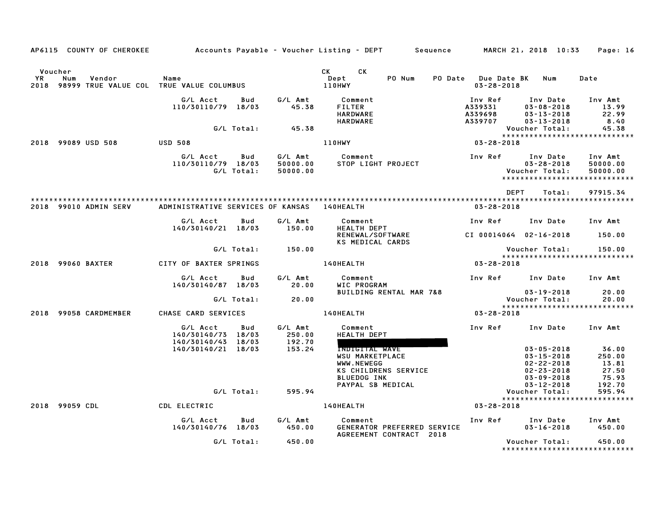| AP6115 COUNTY OF CHEROKEE                                                          |                                    |                   |                                 | Accounts Payable – Voucher Listing – DEPT         Sequence        |                                          | MARCH 21, 2018 10:33                                                 | Page: 16                                                         |
|------------------------------------------------------------------------------------|------------------------------------|-------------------|---------------------------------|-------------------------------------------------------------------|------------------------------------------|----------------------------------------------------------------------|------------------------------------------------------------------|
| Voucher<br>YR<br>Num<br>Vendor<br>98999 TRUE VALUE COL TRUE VALUE COLUMBUS<br>2018 | Name                               |                   |                                 | CK<br>CK<br>PO Num<br>Dept<br><b>PO Date</b><br>110HWY            | <b>Due Date BK</b><br>$03 - 28 - 2018$   | Num                                                                  | Date                                                             |
|                                                                                    | G/L Acct<br>110/30110/79 18/03     | Bud               | G/L Amt<br>45.38                | Comment<br>FILTER<br><b>HARDWARE</b><br><b>HARDWARE</b>           | Inv Ref<br>A339331<br>A339698<br>A339707 | Inv Date<br>$03 - 08 - 2018$<br>$03 - 13 - 2018$<br>$03 - 13 - 2018$ | Inv Amt<br>13.99<br>22.99<br>8.40                                |
|                                                                                    |                                    | G/L Total:        | 45.38                           |                                                                   |                                          | Voucher Total:                                                       | 45.38<br>*****************************                           |
| 2018 99089 USD 508                                                                 | <b>USD 508</b>                     |                   |                                 | 110HWY                                                            | $03 - 28 - 2018$                         |                                                                      |                                                                  |
|                                                                                    | G/L Acct<br>110/30110/79 18/03     | Bud<br>G/L Total: | G/L Amt<br>50000.00<br>50000.00 | Comment<br>STOP LIGHT PROJECT                                     | Inv Ref                                  | Inv Date<br>$03 - 28 - 2018$<br>Voucher Total:                       | Inv Amt<br>50000.00<br>50000.00<br>***************************** |
|                                                                                    |                                    |                   |                                 |                                                                   | <b>DEPT</b>                              | Total:                                                               | 97915.34                                                         |
| 2018 99010 ADMIN SERV                                                              | ADMINISTRATIVE SERVICES OF KANSAS  |                   |                                 | <b>140HEALTH</b>                                                  | $03 - 28 - 2018$                         |                                                                      |                                                                  |
|                                                                                    | G/L Acct                           | Bud               | G/L Amt                         | Comment                                                           | Inv Ref                                  | Inv Date                                                             | Inv Amt                                                          |
|                                                                                    | 140/30140/21 18/03                 |                   | 150.00                          | <b>HEALTH DEPT</b><br>RENEWAL/SOFTWARE<br><b>KS MEDICAL CARDS</b> | CI 00014064 02-16-2018                   |                                                                      | 150.00                                                           |
|                                                                                    |                                    | G/L Total:        | 150.00                          |                                                                   |                                          | Voucher Total:                                                       | 150.00                                                           |
| 2018 99060 BAXTER                                                                  | CITY OF BAXTER SPRINGS             |                   |                                 | 140HEALTH                                                         | 03-28-2018                               |                                                                      | *****************************                                    |
|                                                                                    | G/L Acct<br>140/30140/87 18/03     | Bud               | G/L Amt<br>20.00                | Comment<br>WIC PROGRAM                                            | Inv Ref                                  | Inv Date                                                             | Inv Amt                                                          |
|                                                                                    |                                    | G/L Total:        | 20.00                           | BUILDING RENTAL MAR 7&8                                           |                                          | $03 - 19 - 2018$<br>Voucher Total:                                   | 20.00<br>20.00                                                   |
| 99058 CARDMEMBER<br>2018                                                           | CHASE CARD SERVICES                |                   |                                 | 140HEALTH                                                         | 03-28-2018                               |                                                                      | *****************************                                    |
|                                                                                    | G/L Acct<br>140/30140/73 18/03     | Bud               | G/L Amt<br>250.00               | Comment<br><b>HEALTH DEPT</b>                                     | Inv Ref                                  | Inv Date                                                             | Inv Amt                                                          |
|                                                                                    | 140/30140/43<br>140/30140/21 18/03 | 18/03             | 192.70<br>153.24                | INDIGITAL WAVE<br><b>WSU MARKETPLACE</b><br>WWW.NEWEGG            |                                          | $03 - 05 - 2018$<br>$03 - 15 - 2018$<br>$02 - 22 - 2018$             | 36.00<br>250.00<br>13.81                                         |
|                                                                                    |                                    |                   |                                 | KS CHILDRENS SERVICE<br><b>BLUEDOG INK</b><br>PAYPAL SB MEDICAL   |                                          | $02 - 23 - 2018$<br>$03 - 09 - 2018$<br>$03 - 12 - 2018$             | 27.50<br>75.93<br>192.70                                         |
|                                                                                    |                                    | G/L Total:        | 595.94                          |                                                                   |                                          | Voucher Total:                                                       | 595.94                                                           |
| 2018 99059 CDL                                                                     | CDL ELECTRIC                       |                   |                                 | 140HEALTH                                                         | $03 - 28 - 2018$                         |                                                                      | *****************************                                    |
|                                                                                    | G/L Acct<br>140/30140/76 18/03     | Bud               | G/L Amt<br>450.00               | Comment<br>GENERATOR PREFERRED SERVICE                            | Inv Ref                                  | Inv Date<br>$03 - 16 - 2018$                                         | Inv Amt<br>450.00                                                |
|                                                                                    |                                    |                   |                                 | AGREEMENT CONTRACT 2018                                           |                                          |                                                                      |                                                                  |
|                                                                                    |                                    | G/L Total:        | 450.00                          |                                                                   |                                          | Voucher Total:                                                       | 450.00<br>*******************************                        |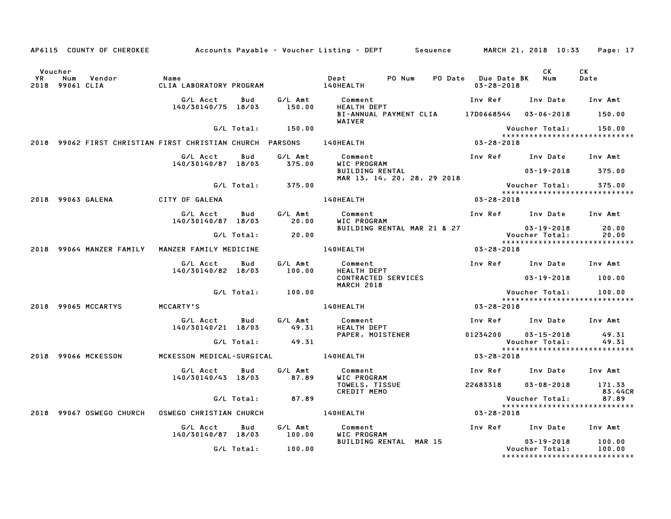|                      |                                  |                                                                     |            |                    | AP6115 COUNTY OF CHEROKEE         Accounts Payable – Voucher Listing – DEPT       Sequence |                                             | MARCH 21, 2018 10:33                                    | Page: 17       |
|----------------------|----------------------------------|---------------------------------------------------------------------|------------|--------------------|--------------------------------------------------------------------------------------------|---------------------------------------------|---------------------------------------------------------|----------------|
| Voucher<br><b>YR</b> | Num<br>Vendor<br>2018 99061 CLIA | Name                                                                |            |                    | Dept PO Num                                                                                | PO Date Due Date BK Num<br>$03 - 28 - 2018$ | CK                                                      | CK<br>Date     |
|                      |                                  | G/L Acct<br>140/30140/75 18/03                                      | Bud        | G/L Amt<br>150.00  | Comment<br><b>HEALTH DEPT</b>                                                              |                                             | Inv Ref Inv Date Inv Amt                                |                |
|                      |                                  |                                                                     |            |                    | BI-ANNUAL PAYMENT CLIA 17D0668544 03-06-2018 150.00<br>WAIVER                              |                                             |                                                         |                |
|                      |                                  |                                                                     |            | G/L Total: 150.00  |                                                                                            |                                             | Voucher Total:<br>*****************************         | 150.00         |
|                      |                                  | 2018 99062 FIRST CHRISTIAN FIRST CHRISTIAN CHURCH PARSONS 140HEALTH |            |                    |                                                                                            | 03-28-2018                                  |                                                         |                |
|                      |                                  | G/L Acct<br>140/30140/87 18/03                                      | Bud        | G/L Amt<br>375.00  | Comment<br>WIC PROGRAM                                                                     |                                             | Inv Ref Inv Date Inv Amt                                |                |
|                      |                                  |                                                                     |            |                    | <b>BUILDING RENTAL</b><br>MAR 13, 14, 20, 28, 29 2018                                      |                                             | $03 - 19 - 2018$ 375.00                                 |                |
|                      |                                  |                                                                     |            | G/L Total: 375.00  |                                                                                            |                                             | Voucher Total:<br>******************************        | 375.00         |
|                      | 2018 99063 GALENA                | CITY OF GALENA                                                      |            |                    | 140HEALTH <b>Andrew Strutter</b>                                                           | 03-28-2018                                  |                                                         |                |
|                      |                                  | G/L Acct<br>140/30140/87 18/03                                      | Bud        | G/L Amt<br>20.00   | Comment<br>WIC PROGRAM                                                                     |                                             | Inv Ref Inv Date Inv Amt                                |                |
|                      |                                  |                                                                     |            | G/L Total: 20.00   | BUILDING RENTAL MAR 21 & 27                                                                |                                             | 03-19-2018<br>Voucher Total:                            | 20.00<br>20.00 |
|                      |                                  |                                                                     |            |                    |                                                                                            |                                             | *****************************                           |                |
|                      | 2018 99064 MANZER FAMILY         | MANZER FAMILY MEDICINE                                              |            |                    | 140HEALTH                                                                                  | 03-28-2018                                  |                                                         |                |
|                      |                                  | G/L Acct<br>140/30140/82 18/03                                      | Bud        | 100.00             | G/L Amt Comment<br><b>HEALTH DEPT</b>                                                      |                                             | Inv Ref Inv Date Inv Amt                                |                |
|                      |                                  |                                                                     |            |                    | CONTRACTED SERVICES<br>MARCH 2018                                                          |                                             | $03 - 19 - 2018$ 100.00                                 |                |
|                      |                                  |                                                                     |            | G/L Total: 100.00  |                                                                                            |                                             | Voucher Total: 100.00<br>****************************** |                |
|                      | 2018 99065 MCCARTYS              | MCCARTY'S                                                           |            |                    | 140HEALTH                                                                                  | 03-28-2018                                  |                                                         |                |
|                      |                                  | G/L Acct<br>140/30140/21 18/03                                      | Bud        | G/L Amt<br>49.31   | Comment<br>HEALTH DEPT                                                                     |                                             | Inv Ref      Inv Date     Inv Amt                       |                |
|                      |                                  |                                                                     |            | G/L Total: 49.31   | PAPER, MOISTENER                                                                           | 01234200                                    | 03-15-2018<br>Voucher Total:                            | 49.31<br>49.31 |
|                      |                                  |                                                                     |            |                    |                                                                                            |                                             | *****************************                           |                |
|                      | 2018 99066 MCKESSON              |                                                                     |            |                    | MCKESSON MEDICAL-SURGICAL 140HEALTH                                                        | 03-28-2018                                  |                                                         |                |
|                      |                                  | G/L Acct<br>140/30140/43 18/03                                      | Bud        | G/L Amt<br>87.89   | Comment<br>WIC PROGRAM                                                                     |                                             | Inv Ref Inv Date Inv Amt                                |                |
|                      |                                  |                                                                     |            |                    | TOWELS, TISSUE<br><b>CREDIT MEMO</b>                                                       |                                             | 22683318  03-08-2018  171.33                            | 83.44CR        |
|                      |                                  |                                                                     |            | $G/L$ Total: 87.89 |                                                                                            |                                             | Voucher Total: 87.89<br>*****************************   |                |
|                      | 2018 99067 OSWEGO CHURCH         | <b>OSWEGO CHRISTIAN CHURCH</b>                                      |            |                    | 140HEALTH                                                                                  | 03-28-2018                                  |                                                         |                |
|                      |                                  | G/L Acct                                                            | Bud        | G/L Amt            | Comment                                                                                    |                                             | Inv Ref Inv Date Inv Amt                                |                |
|                      |                                  | 140/30140/87 18/03                                                  |            | 100.00             | WIC PROGRAM<br>BUILDING RENTAL MAR 15                                                      |                                             | $03 - 19 - 2018$                                        | 100.00         |
|                      |                                  |                                                                     | G/L Total: | 100.00             |                                                                                            |                                             | Voucher Total:<br>*****************************         | 100.00         |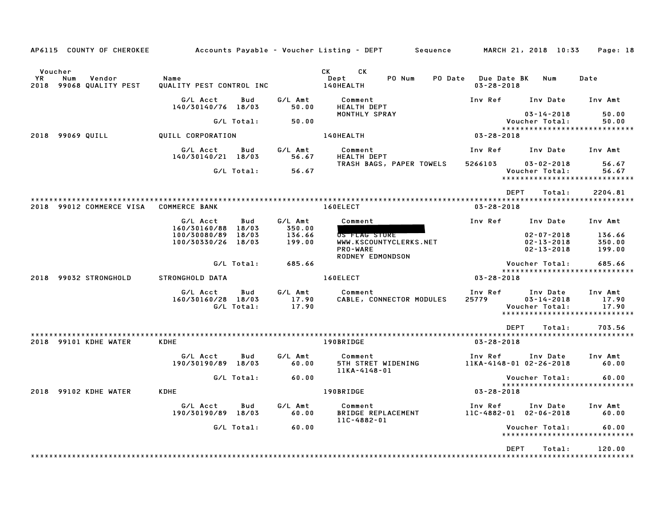| AP6115 COUNTY OF CHEROKEE                                        |                                                     |                           | Accounts Payable – Voucher Listing – DEPT        Sequence            | MARCH 21, 2018 10:33                                                                                | Page: 18                  |
|------------------------------------------------------------------|-----------------------------------------------------|---------------------------|----------------------------------------------------------------------|-----------------------------------------------------------------------------------------------------|---------------------------|
| Voucher<br><b>YR</b><br>Num<br>Vendor<br>2018 99068 QUALITY PEST | Name<br>QUALITY PEST CONTROL INC                    |                           | <b>CK</b><br><b>CK</b><br>PO Num<br>Dept<br>140HEALTH                | PO Date Due Date BK<br>Num<br>$03 - 28 - 2018$                                                      | Date                      |
|                                                                  | G/L Acct<br>Bud<br>140/30140/76 18/03               | G/L Amt<br>50.00          | Comment<br><b>HEALTH DEPT</b>                                        | Inv Ref<br>Inv Date                                                                                 | Inv Amt                   |
|                                                                  | G/L Total:                                          | 50.00                     | MONTHLY SPRAY                                                        | $03 - 14 - 2018$<br>Voucher Total:                                                                  | 50.00<br>50.00            |
| 2018 99069 QUILL                                                 | QUILL CORPORATION                                   |                           | 140HEALTH                                                            | *****************************<br>03-28-2018                                                         |                           |
|                                                                  | G/L Acct<br>Bud<br>140/30140/21 18/03               | G/L Amt<br>56.67          | Comment<br>HEALTH DEPT                                               | Inv Ref<br>Inv Date                                                                                 | Inv Amt                   |
|                                                                  | G/L Total:                                          | 56.67                     | TRASH BAGS, PAPER TOWELS                                             | 5266103<br>$03 - 02 - 2018$<br>Voucher Total:                                                       | 56.67<br>56.67            |
|                                                                  |                                                     |                           |                                                                      | *****************************                                                                       |                           |
|                                                                  |                                                     |                           |                                                                      | <b>DEPT</b><br>Total:                                                                               | 2204.81                   |
| 2018 99012 COMMERCE VISA                                         | <b>COMMERCE BANK</b>                                |                           | 160ELECT                                                             | $03 - 28 - 2018$                                                                                    |                           |
|                                                                  | G/L Acct<br>Bud<br>160/30160/88<br>18/03            | G/L Amt<br>350.00         | Comment                                                              | Inv Ref<br>Inv Date                                                                                 | Inv Amt                   |
|                                                                  | 100/30080/89<br>18/03                               | 136.66                    | US FLAG STORE                                                        | $02 - 07 - 2018$                                                                                    | 136.66                    |
|                                                                  | 100/30330/26<br>18/03                               | 199.00                    | WWW.KSCOUNTYCLERKS.NET<br><b>PRO-WARE</b><br><b>RODNEY EDMONDSON</b> | $02 - 13 - 2018$<br>$02 - 13 - 2018$                                                                | 350.00<br>199.00          |
|                                                                  | G/L Total:                                          | 685.66                    |                                                                      | Voucher Total:                                                                                      | 685.66                    |
| 2018 99032 STRONGHOLD                                            | <b>STRONGHOLD DATA</b>                              |                           | 160ELECT                                                             | *****************************<br>$03 - 28 - 2018$                                                   |                           |
|                                                                  | G/L Acct<br>Bud<br>160/30160/28 18/03<br>G/L Total: | G/L Amt<br>17.90<br>17.90 | Comment<br>CABLE, CONNECTOR MODULES                                  | Inv Ref<br>Inv Date<br>25779<br>$03 - 14 - 2018$<br>Voucher Total:<br>***************************** | Inv Amt<br>17.90<br>17.90 |
|                                                                  |                                                     |                           |                                                                      | <b>DEPT</b><br>Total:                                                                               | 703.56                    |
| 2018 99101 KDHE WATER                                            | <b>KDHE</b>                                         |                           | 190BRIDGE                                                            | $03 - 28 - 2018$                                                                                    |                           |
|                                                                  | G/L Acct<br>Bud<br>190/30190/89 18/03               | G/L Amt<br>60.00          | Comment<br><b>5TH STRET WIDENING</b><br>11KA-4148-01                 | Inv Ref<br>Inv Date<br>11KA-4148-01 02-26-2018                                                      | Inv Amt<br>60.00          |
|                                                                  | G/L Total:                                          | 60.00                     |                                                                      | Voucher Total:<br>*****************************                                                     | 60.00                     |
| 2018 99102 KDHE WATER                                            | <b>KDHE</b>                                         |                           | 190BRIDGE                                                            | 03-28-2018                                                                                          |                           |
|                                                                  | G/L Acct<br>Bud<br>190/30190/89 18/03               | G/L Amt<br>60.00          | Comment<br><b>BRIDGE REPLACEMENT</b><br>11C-4882-01                  | Inv Ref<br>Inv Date<br>11C-4882-01 02-06-2018                                                       | Inv Amt<br>60.00          |
|                                                                  | G/L Total:                                          | 60.00                     |                                                                      | Voucher Total:<br>*****************************                                                     | 60.00                     |
|                                                                  |                                                     |                           |                                                                      | <b>DEPT</b><br>Total:                                                                               | 120.00                    |
|                                                                  |                                                     |                           |                                                                      |                                                                                                     |                           |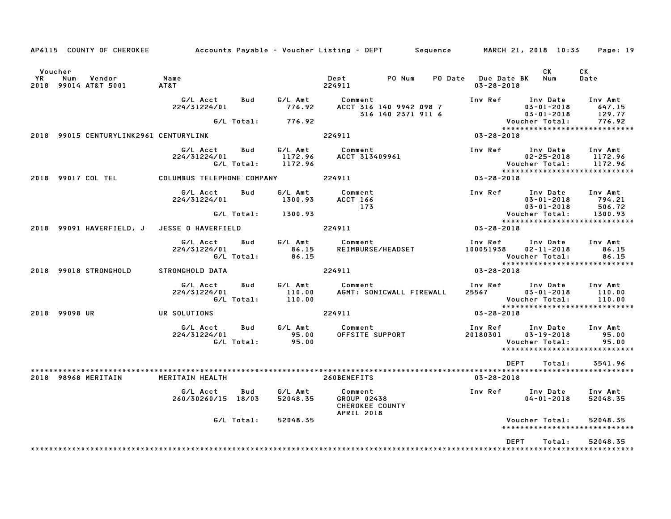|                      |               | AP6115 COUNTY OF CHEROKEE              | Accounts Payable – Voucher Listing – DEPT         Sequence         MARCH 21, 2018  10:33 |                   |                               |                                                                |                                               |                                         |                                                                                      | Page: 19                                                       |
|----------------------|---------------|----------------------------------------|------------------------------------------------------------------------------------------|-------------------|-------------------------------|----------------------------------------------------------------|-----------------------------------------------|-----------------------------------------|--------------------------------------------------------------------------------------|----------------------------------------------------------------|
| Voucher<br><b>YR</b> | Num           | Vendor<br>2018 99014 AT&T 5001         | Name<br>AT&T                                                                             |                   |                               | Dept<br>224911                                                 | PO Num                                        | PO Date Due Date BK<br>$03 - 28 - 2018$ | CK.<br>Num                                                                           | CK<br>Date                                                     |
|                      |               |                                        | G/L Acct<br>224/31224/01                                                                 | Bud<br>G/L Total: | G/L Amt<br>776.92<br>776.92   | Comment                                                        | ACCT 316 140 9942 098 7<br>316 140 2371 911 6 | Inv Ref                                 | Inv Date<br>$03 - 01 - 2018$<br>$03 - 01 - 2018$<br>Voucher Total:<br>Voucher Total: | Inv Amt<br>647.15<br>129.77<br>776.92                          |
|                      |               | 2018 99015 CENTURYLINK2961 CENTURYLINK |                                                                                          |                   |                               | 224911                                                         |                                               | $03 - 28 - 2018$                        |                                                                                      | *****************************                                  |
|                      |               |                                        | G/L Acct<br>224/31224/01                                                                 | Bud<br>G/L Total: | G/L Amt<br>1172.96<br>1172.96 | Comment<br>ACCT 313409961                                      |                                               | Inv Ref                                 | Inv Date<br>$02 - 25 - 2018$<br>Voucher Total:                                       | Inv Amt<br>1172.96<br>1172.96<br>***************************** |
|                      |               | 2018 99017 COL TEL                     | COLUMBUS TELEPHONE COMPANY                                                               |                   |                               | 224911                                                         |                                               | 03-28-2018                              |                                                                                      |                                                                |
|                      |               |                                        | G/L Acct<br>224/31224/01                                                                 | Bud               | G/L Amt<br>1300.93            | Comment<br><b>ACCT 166</b><br>173                              |                                               | Inv Ref                                 | Inv Date<br>$03 - 01 - 2018$<br>$03 - 01 - 2018$                                     | Inv Amt<br>794.21<br>506.72                                    |
|                      |               |                                        |                                                                                          | G/L Total:        | 1300.93                       |                                                                |                                               |                                         | Voucher Total:                                                                       | 1300.93<br>*****************************                       |
|                      |               | 2018 99091 HAVERFIELD, J               | JESSE O HAVERFIELD                                                                       |                   |                               | 224911                                                         |                                               | 03-28-2018                              |                                                                                      |                                                                |
|                      |               |                                        | G/L Acct<br>224/31224/01                                                                 | Bud<br>G/L Total: | G/L Amt<br>86.15<br>86.15     | Comment                                                        | REIMBURSE/HEADSET                             | Inv Ref<br>100051938                    | Inv Date<br>$02 - 11 - 2018$<br>Voucher Total:                                       | Inv Amt<br>86.15<br>86.15<br>******************************    |
|                      |               | 2018 99018 STRONGHOLD                  | STRONGHOLD DATA                                                                          |                   |                               | 224911                                                         |                                               | 03-28-2018                              |                                                                                      |                                                                |
|                      |               |                                        | G/L Acct<br>224/31224/01                                                                 | Bud<br>G/L Total: | G/L Amt<br>110.00<br>110.00   | Comment                                                        | AGMT: SONICWALL FIREWALL                      | Inv Ref<br>25567                        | Inv Date<br>$03 - 01 - 2018$<br>Voucher Total:                                       | Inv Amt<br>110.00<br>110.00                                    |
|                      | 2018 99098 UR |                                        | UR SOLUTIONS                                                                             |                   |                               | 224911                                                         |                                               | 03-28-2018                              |                                                                                      | *****************************                                  |
|                      |               |                                        | G/L Acct<br>224/31224/01                                                                 | Bud<br>G/L Total: | G/L Amt<br>95.00<br>95.00     | Comment<br>OFFSITE SUPPORT                                     |                                               | Inv Ref<br>20180301                     | Inv Date<br>$03 - 19 - 2018$<br>Voucher Total:                                       | Inv Amt<br>95.00<br>95.00<br>*****************************     |
|                      |               |                                        |                                                                                          |                   |                               |                                                                |                                               | DEPT                                    | Total:                                                                               | 3541.96                                                        |
|                      |               | 2018 98968 MERITAIN                    | MERITAIN HEALTH                                                                          |                   |                               | 260BENEFITS                                                    |                                               | $03 - 28 - 2018$                        |                                                                                      |                                                                |
|                      |               |                                        | G/L Acct<br>260/30260/15 18/03                                                           | Bud               | G/L Amt<br>52048.35           | Comment<br>GROUP 02438<br>CHEROKEE COUNTY<br><b>APRIL 2018</b> |                                               | Inv Ref                                 | Inv Date<br>$04 - 01 - 2018$                                                         | Inv Amt<br>52048.35                                            |
|                      |               |                                        |                                                                                          | G/L Total:        | 52048.35                      |                                                                |                                               |                                         | Voucher Total:                                                                       | 52048.35<br>*****************************                      |
|                      |               |                                        |                                                                                          |                   |                               |                                                                |                                               | <b>DEPT</b>                             | Total:                                                                               | 52048.35                                                       |
|                      |               |                                        |                                                                                          |                   |                               |                                                                |                                               |                                         |                                                                                      |                                                                |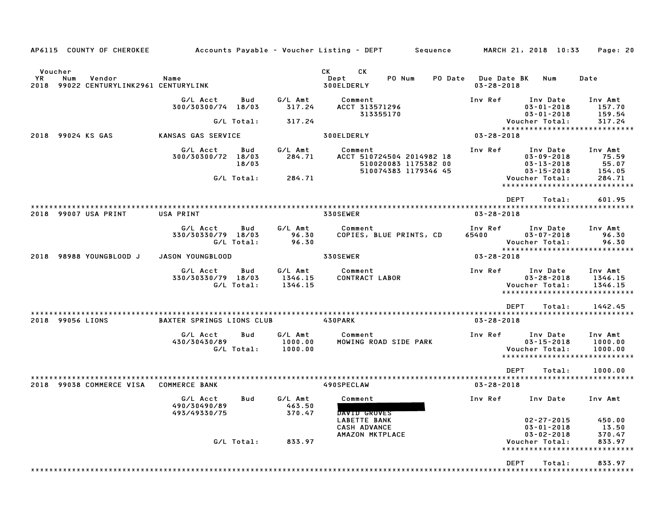| AP6115 COUNTY OF CHEROKEE                                                   |                                              |                |                               | Accounts Payable – Voucher Listing – DEPT                                 | Sequence |                                 | MARCH 21, 2018 10:33                                                 | Page: 20                                                       |
|-----------------------------------------------------------------------------|----------------------------------------------|----------------|-------------------------------|---------------------------------------------------------------------------|----------|---------------------------------|----------------------------------------------------------------------|----------------------------------------------------------------|
| Voucher<br>YR<br>Num<br>Vendor<br>2018<br>99022 CENTURYLINK2961 CENTURYLINK | Name                                         |                |                               | CK<br><b>CK</b><br>Dept<br>PO Num<br>300ELDERLY                           | PO Date  | Due Date BK<br>$03 - 28 - 2018$ | Num                                                                  | Date                                                           |
|                                                                             | G/L Acct<br>300/30300/74 18/03               | Bud            | G/L Amt<br>317.24             | Comment<br>ACCT 313571296<br>313355170                                    |          | Inv Ref                         | Inv Date<br>$03 - 01 - 2018$<br>$03 - 01 - 2018$                     | Inv Amt<br>157.70<br>159.54                                    |
|                                                                             | G/L Total:                                   |                | 317.24                        |                                                                           |          |                                 | Voucher Total:                                                       | 317.24                                                         |
| 2018 99024 KS GAS                                                           | KANSAS GAS SERVICE                           |                |                               | 300ELDERLY                                                                |          | $03 - 28 - 2018$                |                                                                      | *****************************                                  |
|                                                                             | G/L Acct                                     | Bud            | G/L Amt                       | Comment                                                                   |          | Inv Ref                         | Inv Date                                                             | Inv Amt                                                        |
|                                                                             | 300/30300/72                                 | 18/03<br>18/03 | 284.71                        | ACCT 510724504 2014982 18<br>510020083 1175382 00<br>510074383 1179346 45 |          |                                 | $03 - 09 - 2018$<br>$03 - 13 - 2018$<br>$03 - 15 - 2018$             | 75.59<br>55.07<br>154.05                                       |
|                                                                             | G/L Total:                                   |                | 284.71                        |                                                                           |          |                                 | Voucher Total:<br>*********************                              | 284.71<br>**********                                           |
|                                                                             |                                              |                |                               |                                                                           |          | <b>DEPT</b>                     | Total:                                                               | 601.95                                                         |
| 2018 99007 USA PRINT                                                        | USA PRINT                                    |                |                               | 330SEWER                                                                  |          | $03 - 28 - 2018$                |                                                                      |                                                                |
|                                                                             | G/L Acct<br>330/30330/79 18/03<br>G/L Total: | Bud            | G/L Amt<br>96.30<br>96.30     | Comment<br>COPIES, BLUE PRINTS, CD                                        | 65400    | Inv Ref                         | Inv Date<br>$03 - 07 - 2018$<br>Voucher Total:                       | Inv Amt<br>96.30<br>96.30<br>******************************    |
| 98988 YOUNGBLOOD J<br>2018                                                  | <b>JASON YOUNGBLOOD</b>                      |                |                               | 330SEWER                                                                  |          | $03 - 28 - 2018$                |                                                                      |                                                                |
|                                                                             | G/L Acct<br>330/30330/79 18/03<br>G/L Total: | <b>Bud</b>     | G/L Amt<br>1346.15<br>1346.15 | Comment<br>CONTRACT LABOR                                                 |          | Inv Ref                         | Inv Date<br>$03 - 28 - 2018$<br>Voucher Total:<br>****************** | Inv Amt<br>1346.15<br>1346.15<br>* * * * * * * * * * *         |
|                                                                             |                                              |                |                               |                                                                           |          | <b>DEPT</b>                     | Total:                                                               | 1442.45                                                        |
| 2018 99056 LIONS                                                            | <b>BAXTER SPRINGS LIONS CLUB</b>             |                |                               | 430PARK                                                                   |          | $03 - 28 - 2018$                |                                                                      |                                                                |
|                                                                             | G/L Acct<br>430/30430/89<br>G/L Total:       | Bud            | G/L Amt<br>1000.00<br>1000.00 | Comment<br>MOWING ROAD SIDE PARK                                          |          | Inv Ref                         | Inv Date<br>$03 - 15 - 2018$<br>Voucher Total:                       | Inv Amt<br>1000.00<br>1000.00<br>***************************** |
|                                                                             |                                              |                |                               |                                                                           |          | <b>DEPT</b>                     | Total:                                                               | 1000.00                                                        |
| 2018 99038 COMMERCE VISA                                                    | <b>COMMERCE BANK</b>                         |                |                               | 490SPECLAW                                                                |          | $03 - 28 - 2018$                |                                                                      |                                                                |
|                                                                             | G/L Acct<br>490/30490/89<br>493/49330/75     | Bud            | G/L Amt<br>463.50<br>370.47   | Comment<br>DAVID GROVES<br><b>LABETTE BANK</b>                            |          | Inv Ref                         | Inv Date<br>$02 - 27 - 2015$                                         | Inv Amt<br>450.00                                              |
|                                                                             | G/L Total:                                   |                | 833.97                        | <b>CASH ADVANCE</b><br>AMAZON MKTPLACE                                    |          |                                 | $03 - 01 - 2018$<br>$03 - 02 - 2018$<br>Voucher Total:               | 13.50<br>370.47<br>833.97                                      |
|                                                                             |                                              |                |                               |                                                                           |          |                                 |                                                                      |                                                                |
|                                                                             |                                              |                |                               |                                                                           |          | <b>DEPT</b>                     | Total:                                                               | 833.97                                                         |